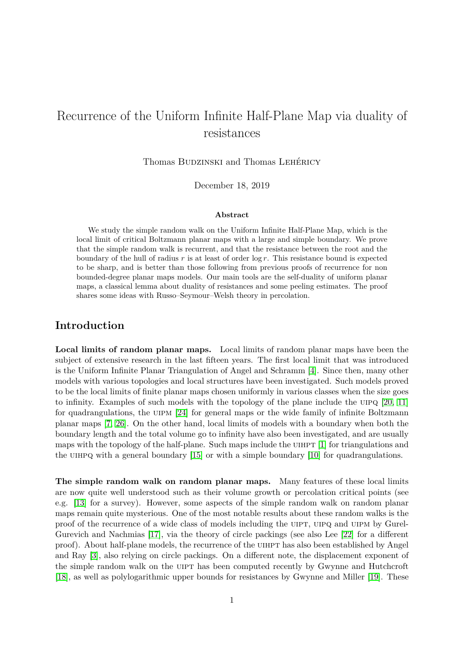# Recurrence of the Uniform Infinite Half-Plane Map via duality of resistances

Thomas BUDZINSKI and Thomas LEHÉRICY

December 18, 2019

#### **Abstract**

We study the simple random walk on the Uniform Infinite Half-Plane Map, which is the local limit of critical Boltzmann planar maps with a large and simple boundary. We prove that the simple random walk is recurrent, and that the resistance between the root and the boundary of the hull of radius *r* is at least of order log *r*. This resistance bound is expected to be sharp, and is better than those following from previous proofs of recurrence for non bounded-degree planar maps models. Our main tools are the self-duality of uniform planar maps, a classical lemma about duality of resistances and some peeling estimates. The proof shares some ideas with Russo–Seymour–Welsh theory in percolation.

## **Introduction**

**Local limits of random planar maps.** Local limits of random planar maps have been the subject of extensive research in the last fifteen years. The first local limit that was introduced is the Uniform Infinite Planar Triangulation of Angel and Schramm [\[4\]](#page-32-0). Since then, many other models with various topologies and local structures have been investigated. Such models proved to be the local limits of finite planar maps chosen uniformly in various classes when the size goes to infinity. Examples of such models with the topology of the plane include the uipq [\[20,](#page-33-0) [11\]](#page-32-1) for quadrangulations, the UIPM [\[24\]](#page-33-1) for general maps or the wide family of infinite Boltzmann planar maps [\[7,](#page-32-2) [26\]](#page-33-2). On the other hand, local limits of models with a boundary when both the boundary length and the total volume go to infinity have also been investigated, and are usually maps with the topology of the half-plane. Such maps include the UIHPT  $[1]$  for triangulations and the UIHPQ with a general boundary  $[15]$  or with a simple boundary  $[10]$  for quadrangulations.

**The simple random walk on random planar maps.** Many features of these local limits are now quite well understood such as their volume growth or percolation critical points (see e.g. [\[13\]](#page-32-6) for a survey). However, some aspects of the simple random walk on random planar maps remain quite mysterious. One of the most notable results about these random walks is the proof of the recurrence of a wide class of models including the UIPT, UIPQ and UIPM by Gurel-Gurevich and Nachmias [\[17\]](#page-32-7), via the theory of circle packings (see also Lee [\[22\]](#page-33-3) for a different proof). About half-plane models, the recurrence of the uihpt has also been established by Angel and Ray [\[3\]](#page-32-8), also relying on circle packings. On a different note, the displacement exponent of the simple random walk on the UIPT has been computed recently by Gwynne and Hutchcroft [\[18\]](#page-32-9), as well as polylogarithmic upper bounds for resistances by Gwynne and Miller [\[19\]](#page-33-4). These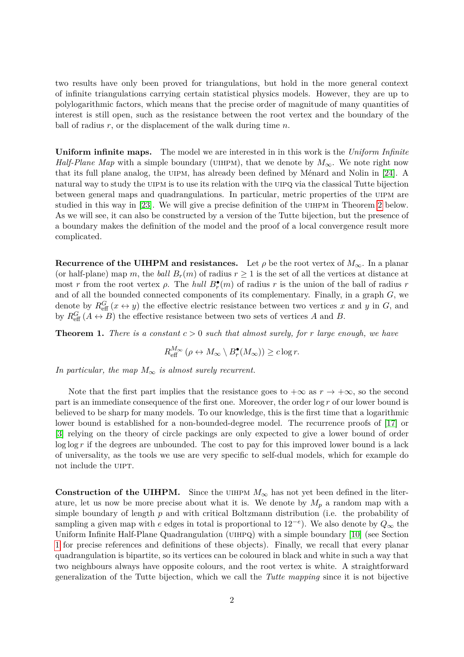two results have only been proved for triangulations, but hold in the more general context of infinite triangulations carrying certain statistical physics models. However, they are up to polylogarithmic factors, which means that the precise order of magnitude of many quantities of interest is still open, such as the resistance between the root vertex and the boundary of the ball of radius *r*, or the displacement of the walk during time *n*.

**Uniform infinite maps.** The model we are interested in in this work is the *Uniform Infinite Half-Plane Map* with a simple boundary (UIHPM), that we denote by  $M_{\infty}$ . We note right now that its full plane analog, the UIPM, has already been defined by Ménard and Nolin in [\[24\]](#page-33-1). A natural way to study the UIPM is to use its relation with the UIPQ via the classical Tutte bijection between general maps and quadrangulations. In particular, metric properties of the uipm are studied in this way in [\[23\]](#page-33-5). We will give a precise definition of the UIHPM in Theorem [2](#page-2-0) below. As we will see, it can also be constructed by a version of the Tutte bijection, but the presence of a boundary makes the definition of the model and the proof of a local convergence result more complicated.

**Recurrence of the UIHPM and resistances.** Let  $\rho$  be the root vertex of  $M_{\infty}$ . In a planar (or half-plane) map *m*, the *ball*  $B_r(m)$  of radius  $r \geq 1$  is the set of all the vertices at distance at most *r* from the root vertex *ρ*. The *hull*  $B_r^{\bullet}(m)$  of radius *r* is the union of the ball of radius *r* and of all the bounded connected components of its complementary. Finally, in a graph *G*, we denote by  $R_{\text{eff}}^G(x \leftrightarrow y)$  the effective electric resistance between two vertices *x* and *y* in *G*, and by  $R_{\text{eff}}^G$  ( $A \leftrightarrow B$ ) the effective resistance between two sets of vertices  $A$  and  $B$ .

<span id="page-1-0"></span>**Theorem 1.** *There is a constant*  $c > 0$  *such that almost surely, for r large enough, we have* 

$$
R_{\text{eff}}^{M_{\infty}}\left(\rho \leftrightarrow M_{\infty} \setminus B_r^{\bullet}(M_{\infty})\right) \geq c \log r.
$$

*In particular, the map*  $M_{\infty}$  *is almost surely recurrent.* 

Note that the first part implies that the resistance goes to  $+\infty$  as  $r \to +\infty$ , so the second part is an immediate consequence of the first one. Moreover, the order log *r* of our lower bound is believed to be sharp for many models. To our knowledge, this is the first time that a logarithmic lower bound is established for a non-bounded-degree model. The recurrence proofs of [\[17\]](#page-32-7) or [\[3\]](#page-32-8) relying on the theory of circle packings are only expected to give a lower bound of order log log r if the degrees are unbounded. The cost to pay for this improved lower bound is a lack of universality, as the tools we use are very specific to self-dual models, which for example do not include the UIPT.

**Construction of the UIHPM.** Since the UIHPM  $M_{\infty}$  has not yet been defined in the literature, let us now be more precise about what it is. We denote by  $M_p$  a random map with a simple boundary of length *p* and with critical Boltzmann distribution (i.e. the probability of sampling a given map with *e* edges in total is proportional to 12−*<sup>e</sup>* ). We also denote by *Q*<sup>∞</sup> the Uniform Infinite Half-Plane Quadrangulation (UIHPQ) with a simple boundary [\[10\]](#page-32-5) (see Section [1](#page-3-0) for precise references and definitions of these objects). Finally, we recall that every planar quadrangulation is bipartite, so its vertices can be coloured in black and white in such a way that two neighbours always have opposite colours, and the root vertex is white. A straightforward generalization of the Tutte bijection, which we call the *Tutte mapping* since it is not bijective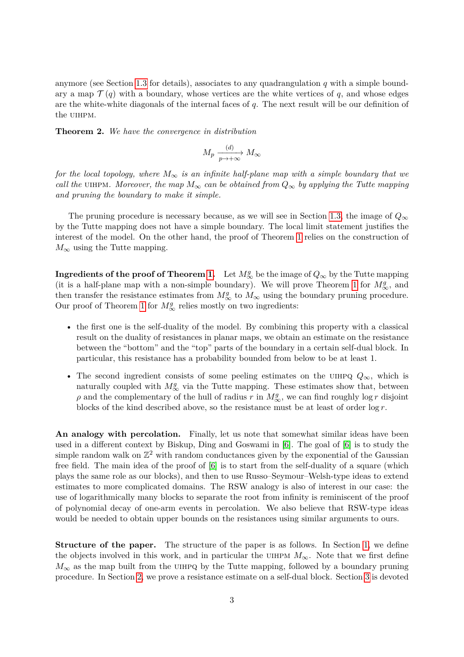anymore (see Section [1.3](#page-8-0) for details), associates to any quadrangulation *q* with a simple boundary a map  $\mathcal{T}(q)$  with a boundary, whose vertices are the white vertices of q, and whose edges are the white-white diagonals of the internal faces of *q*. The next result will be our definition of the UIHPM.

<span id="page-2-0"></span>**Theorem 2.** *We have the convergence in distribution*

$$
M_p \xrightarrow[p \to +\infty]{(d)} M_\infty
$$

*for the local topology, where*  $M_{\infty}$  *is an infinite half-plane map with a simple boundary that we call the* UIHPM. Moreover, the map  $M_{\infty}$  can be obtained from  $Q_{\infty}$  by applying the Tutte mapping *and pruning the boundary to make it simple.*

The pruning procedure is necessary because, as we will see in Section [1.3,](#page-8-0) the image of  $Q_{\infty}$ by the Tutte mapping does not have a simple boundary. The local limit statement justifies the interest of the model. On the other hand, the proof of Theorem [1](#page-1-0) relies on the construction of  $M_{\infty}$  using the Tutte mapping.

**Ingredients of the proof of Theorem [1.](#page-1-0)** Let  $M^g_\infty$  be the image of  $Q_\infty$  by the Tutte mapping (it is a half-plane map with a non-simple boundary). We will prove Theorem [1](#page-1-0) for  $M^g_\infty$ , and then transfer the resistance estimates from  $M^g_{\infty}$  to  $M_{\infty}$  using the boundary pruning procedure. Our proof of Theorem [1](#page-1-0) for  $M^g_\infty$  relies mostly on two ingredients:

- the first one is the self-duality of the model. By combining this property with a classical result on the duality of resistances in planar maps, we obtain an estimate on the resistance between the "bottom" and the "top" parts of the boundary in a certain self-dual block. In particular, this resistance has a probability bounded from below to be at least 1.
- The second ingredient consists of some peeling estimates on the uihpq *Q*∞, which is naturally coupled with  $M^g_{\infty}$  via the Tutte mapping. These estimates show that, between *ρ* and the complementary of the hull of radius *r* in  $M^g_{\infty}$ , we can find roughly log *r* disjoint blocks of the kind described above, so the resistance must be at least of order log *r*.

An analogy with percolation. Finally, let us note that somewhat similar ideas have been used in a different context by Biskup, Ding and Goswami in [\[6\]](#page-32-10). The goal of [\[6\]](#page-32-10) is to study the simple random walk on  $\mathbb{Z}^2$  with random conductances given by the exponential of the Gaussian free field. The main idea of the proof of [\[6\]](#page-32-10) is to start from the self-duality of a square (which plays the same role as our blocks), and then to use Russo–Seymour–Welsh-type ideas to extend estimates to more complicated domains. The RSW analogy is also of interest in our case: the use of logarithmically many blocks to separate the root from infinity is reminiscent of the proof of polynomial decay of one-arm events in percolation. We also believe that RSW-type ideas would be needed to obtain upper bounds on the resistances using similar arguments to ours.

**Structure of the paper.** The structure of the paper is as follows. In Section [1,](#page-3-0) we define the objects involved in this work, and in particular the UHPM  $M_{\infty}$ . Note that we first define  $M_{\infty}$  as the map built from the UIHPQ by the Tutte mapping, followed by a boundary pruning procedure. In Section [2,](#page-11-0) we prove a resistance estimate on a self-dual block. Section [3](#page-13-0) is devoted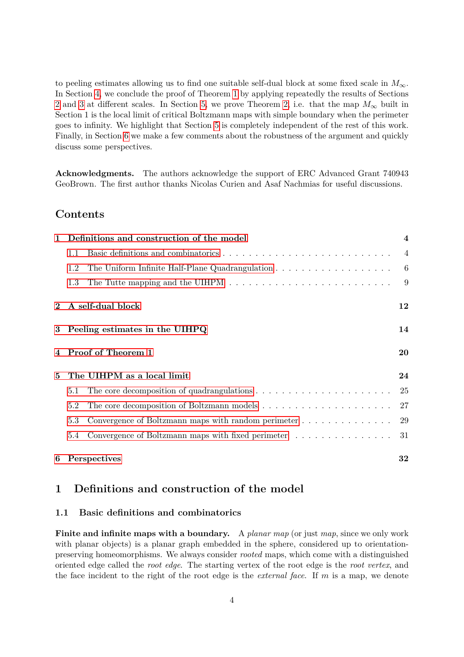to peeling estimates allowing us to find one suitable self-dual block at some fixed scale in  $M_{\infty}$ . In Section [4,](#page-19-0) we conclude the proof of Theorem [1](#page-1-0) by applying repeatedly the results of Sections [2](#page-11-0) and [3](#page-13-0) at different scales. In Section [5,](#page-23-0) we prove Theorem [2,](#page-2-0) i.e. that the map  $M_{\infty}$  built in Section 1 is the local limit of critical Boltzmann maps with simple boundary when the perimeter goes to infinity. We highlight that Section [5](#page-23-0) is completely independent of the rest of this work. Finally, in Section [6](#page-31-0) we make a few comments about the robustness of the argument and quickly discuss some perspectives.

**Acknowledgments.** The authors acknowledge the support of ERC Advanced Grant 740943 GeoBrown. The first author thanks Nicolas Curien and Asaf Nachmias for useful discussions.

### **Contents**

| $\mathbf{1}$ | Definitions and construction of the model                                                            | $\overline{\mathbf{4}}$ |
|--------------|------------------------------------------------------------------------------------------------------|-------------------------|
|              | 1.1                                                                                                  | $\overline{4}$          |
|              | The Uniform Infinite Half-Plane Quadrangulation $\ldots \ldots \ldots \ldots \ldots \ldots$<br>1.2   | -6                      |
|              | The Tutte mapping and the UIHPM $\dots \dots \dots \dots \dots \dots \dots \dots \dots \dots$<br>1.3 | 9                       |
|              | A self-dual block                                                                                    | 12                      |
|              | 3 Peeling estimates in the UIHPQ                                                                     | 14                      |
|              | Proof of Theorem 1                                                                                   | 20                      |
| $\mathbf{5}$ | The UIHPM as a local limit                                                                           | 24                      |
|              | The core decomposition of quadrangulations $\dots \dots \dots \dots \dots \dots \dots \dots$<br>5.1  | 25                      |
|              | 5.2                                                                                                  | 27                      |
|              | Convergence of Boltzmann maps with random perimeter<br>5.3                                           | 29                      |
|              | Convergence of Boltzmann maps with fixed perimeter<br>5.4                                            | 31                      |
| 6            | Perspectives                                                                                         | 32                      |

### <span id="page-3-0"></span>**1 Definitions and construction of the model**

#### <span id="page-3-1"></span>**1.1 Basic definitions and combinatorics**

**Finite and infinite maps with a boundary.** A *planar map* (or just *map*, since we only work with planar objects) is a planar graph embedded in the sphere, considered up to orientationpreserving homeomorphisms. We always consider *rooted* maps, which come with a distinguished oriented edge called the *root edge*. The starting vertex of the root edge is the *root vertex*, and the face incident to the right of the root edge is the *external face*. If *m* is a map, we denote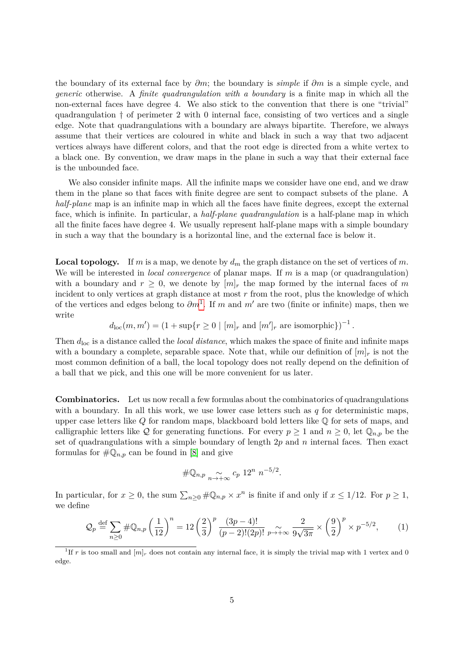the boundary of its external face by *∂m*; the boundary is *simple* if *∂m* is a simple cycle, and *generic* otherwise. A *finite quadrangulation with a boundary* is a finite map in which all the non-external faces have degree 4. We also stick to the convention that there is one "trivial" quadrangulation † of perimeter 2 with 0 internal face, consisting of two vertices and a single edge. Note that quadrangulations with a boundary are always bipartite. Therefore, we always assume that their vertices are coloured in white and black in such a way that two adjacent vertices always have different colors, and that the root edge is directed from a white vertex to a black one. By convention, we draw maps in the plane in such a way that their external face is the unbounded face.

We also consider infinite maps. All the infinite maps we consider have one end, and we draw them in the plane so that faces with finite degree are sent to compact subsets of the plane. A *half-plane* map is an infinite map in which all the faces have finite degrees, except the external face, which is infinite. In particular, a *half-plane quadrangulation* is a half-plane map in which all the finite faces have degree 4. We usually represent half-plane maps with a simple boundary in such a way that the boundary is a horizontal line, and the external face is below it.

**Local topology.** If *m* is a map, we denote by  $d_m$  the graph distance on the set of vertices of *m*. We will be interested in *local convergence* of planar maps. If *m* is a map (or quadrangulation) with a boundary and  $r \geq 0$ , we denote by  $[m]_r$  the map formed by the internal faces of m incident to only vertices at graph distance at most *r* from the root, plus the knowledge of which of the vertices and edges belong to  $\partial m^1$  $\partial m^1$ . If *m* and *m'* are two (finite or infinite) maps, then we write

$$
d_{\text{loc}}(m, m') = (1 + \sup\{r \ge 0 \mid [m]_r \text{ and } [m']_r \text{ are isomorphic}\})^{-1}
$$

*.*

Then  $d_{\text{loc}}$  is a distance called the *local distance*, which makes the space of finite and infinite maps with a boundary a complete, separable space. Note that, while our definition of  $[m]_r$  is not the most common definition of a ball, the local topology does not really depend on the definition of a ball that we pick, and this one will be more convenient for us later.

**Combinatorics.** Let us now recall a few formulas about the combinatorics of quadrangulations with a boundary. In all this work, we use lower case letters such as *q* for deterministic maps, upper case letters like *Q* for random maps, blackboard bold letters like Q for sets of maps, and calligraphic letters like Q for generating functions. For every  $p \ge 1$  and  $n \ge 0$ , let  $\mathbb{Q}_{n,p}$  be the set of quadrangulations with a simple boundary of length 2*p* and *n* internal faces. Then exact formulas for  $\#\mathbb{Q}_{n,p}$  can be found in [\[8\]](#page-32-11) and give

$$
\#\mathbb{Q}_{n,p} \underset{n\to+\infty}{\sim} c_p 12^n n^{-5/2}.
$$

In particular, for  $x \ge 0$ , the sum  $\sum_{n\ge 0} \#\mathbb{Q}_{n,p} \times x^n$  is finite if and only if  $x \le 1/12$ . For  $p \ge 1$ , we define

<span id="page-4-1"></span>
$$
Q_p \stackrel{\text{def}}{=} \sum_{n\geq 0} \# \mathbb{Q}_{n,p} \left(\frac{1}{12}\right)^n = 12 \left(\frac{2}{3}\right)^p \frac{(3p-4)!}{(p-2)!(2p)!} \underset{p\to+\infty}{\sim} \frac{2}{9\sqrt{3\pi}} \times \left(\frac{9}{2}\right)^p \times p^{-5/2},\tag{1}
$$

<span id="page-4-0"></span><sup>&</sup>lt;sup>1</sup>If *r* is too small and  $[m]_r$  does not contain any internal face, it is simply the trivial map with 1 vertex and 0 edge.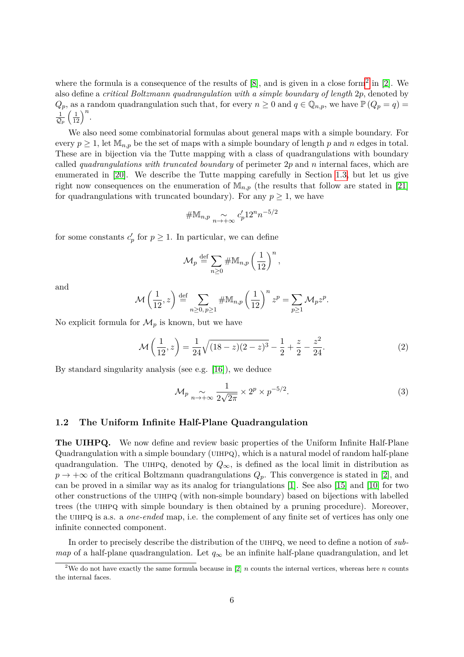where the formula is a consequence of the results of  $[8]$ , and is given in a close form<sup>[2](#page-5-1)</sup> in  $[2]$ . We also define a *critical Boltzmann quadrangulation with a simple boundary of length* 2*p*, denoted by  $Q_p$ , as a random quadrangulation such that, for every  $n \geq 0$  and  $q \in \mathbb{Q}_{n,p}$ , we have  $\mathbb{P}(Q_p = q) =$  $\frac{1}{\mathcal{Q}_p}$  $\left(\frac{1}{12}\right)^n$ .

We also need some combinatorial formulas about general maps with a simple boundary. For every  $p \geq 1$ , let  $\mathbb{M}_{n,p}$  be the set of maps with a simple boundary of length p and n edges in total. These are in bijection via the Tutte mapping with a class of quadrangulations with boundary called *quadrangulations with truncated boundary* of perimeter 2*p* and *n* internal faces, which are enumerated in [\[20\]](#page-33-0). We describe the Tutte mapping carefully in Section [1.3,](#page-8-0) but let us give right now consequences on the enumeration of  $\mathbb{M}_{n,p}$  (the results that follow are stated in [\[21\]](#page-33-6) for quadrangulations with truncated boundary). For any  $p \geq 1$ , we have

$$
\#\mathbb{M}_{n,p} \underset{n \to +\infty}{\sim} c'_p 12^n n^{-5/2}
$$

for some constants  $c'_p$  for  $p \geq 1$ . In particular, we can define

$$
\mathcal{M}_p \stackrel{\text{def}}{=} \sum_{n\geq 0} \# \mathbb{M}_{n,p} \left(\frac{1}{12}\right)^n,
$$

and

$$
\mathcal{M}\left(\frac{1}{12},z\right) \stackrel{\text{def}}{=} \sum_{n\geq 0, p\geq 1} \# \mathbb{M}_{n,p} \left(\frac{1}{12}\right)^n z^p = \sum_{p\geq 1} \mathcal{M}_p z^p.
$$

No explicit formula for  $\mathcal{M}_p$  is known, but we have

<span id="page-5-2"></span>
$$
\mathcal{M}\left(\frac{1}{12}, z\right) = \frac{1}{24}\sqrt{(18-z)(2-z)^3} - \frac{1}{2} + \frac{z}{2} - \frac{z^2}{24}.\tag{2}
$$

By standard singularity analysis (see e.g. [\[16\]](#page-32-13)), we deduce

<span id="page-5-3"></span>
$$
\mathcal{M}_p \underset{n \to +\infty}{\sim} \frac{1}{2\sqrt{2\pi}} \times 2^p \times p^{-5/2}.\tag{3}
$$

#### <span id="page-5-0"></span>**1.2 The Uniform Infinite Half-Plane Quadrangulation**

**The UIHPQ.** We now define and review basic properties of the Uniform Infinite Half-Plane Quadrangulation with a simple boundary (uihpq), which is a natural model of random half-plane quadrangulation. The UIHPQ, denoted by  $Q_{\infty}$ , is defined as the local limit in distribution as  $p \rightarrow +\infty$  of the critical Boltzmann quadrangulations  $Q_p$ . This convergence is stated in [\[2\]](#page-32-12), and can be proved in a similar way as its analog for triangulations [\[1\]](#page-32-3). See also [\[15\]](#page-32-4) and [\[10\]](#page-32-5) for two other constructions of the uihpq (with non-simple boundary) based on bijections with labelled trees (the UIHPQ with simple boundary is then obtained by a pruning procedure). Moreover, the UIHPQ is a.s. a *one-ended* map, i.e. the complement of any finite set of vertices has only one infinite connected component.

In order to precisely describe the distribution of the uihpq, we need to define a notion of *submap* of a half-plane quadrangulation. Let *q*<sup>∞</sup> be an infinite half-plane quadrangulation, and let

<span id="page-5-1"></span><sup>&</sup>lt;sup>2</sup>We do not have exactly the same formula because in [\[2\]](#page-32-12) *n* counts the internal vertices, whereas here *n* counts the internal faces.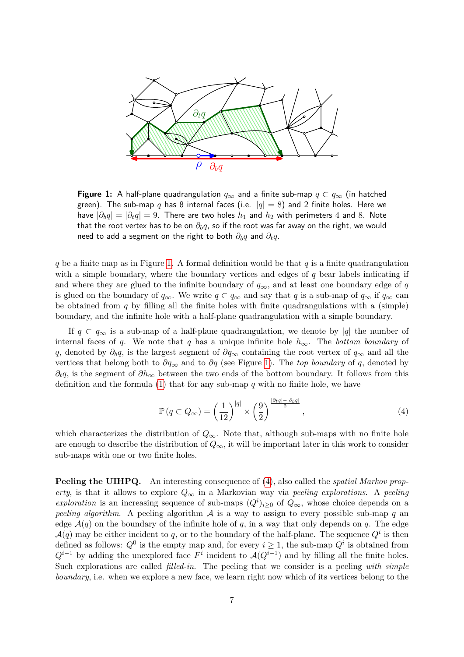<span id="page-6-0"></span>

**Figure 1:** A half-plane quadrangulation  $q_{\infty}$  and a finite sub-map  $q \subset q_{\infty}$  (in hatched green). The sub-map q has 8 internal faces (i.e.  $|q| = 8$ ) and 2 finite holes. Here we have  $|\partial_b q| = |\partial_t q| = 9$ . There are two holes  $h_1$  and  $h_2$  with perimeters 4 and 8. Note that the root vertex has to be on *∂bq*, so if the root was far away on the right, we would need to add a segment on the right to both *∂bq* and *∂tq*.

*q* be a finite map as in Figure [1.](#page-6-0) A formal definition would be that *q* is a finite quadrangulation with a simple boundary, where the boundary vertices and edges of  $q$  bear labels indicating if and where they are glued to the infinite boundary of  $q_{\infty}$ , and at least one boundary edge of *q* is glued on the boundary of  $q_{\infty}$ . We write  $q \subset q_{\infty}$  and say that *q* is a sub-map of  $q_{\infty}$  if  $q_{\infty}$  can be obtained from *q* by filling all the finite holes with finite quadrangulations with a (simple) boundary, and the infinite hole with a half-plane quadrangulation with a simple boundary.

If  $q \text{ }\subset q_{\infty}$  is a sub-map of a half-plane quadrangulation, we denote by |q| the number of internal faces of *q*. We note that *q* has a unique infinite hole *h*∞. The *bottom boundary* of *q*, denoted by *∂bq*, is the largest segment of *∂q*<sup>∞</sup> containing the root vertex of *q*<sup>∞</sup> and all the vertices that belong both to *∂q*<sup>∞</sup> and to *∂q* (see Figure [1\)](#page-6-0). The *top boundary* of *q*, denoted by *∂*<sub>t</sub>*q*, is the segment of  $\partial h_{\infty}$  between the two ends of the bottom boundary. It follows from this definition and the formula [\(1\)](#page-4-1) that for any sub-map *q* with no finite hole, we have

<span id="page-6-1"></span>
$$
\mathbb{P}\left(q \subset Q_{\infty}\right) = \left(\frac{1}{12}\right)^{|q|} \times \left(\frac{9}{2}\right)^{\frac{|\partial_t q| - |\partial_b q|}{2}},\tag{4}
$$

which characterizes the distribution of  $Q_{\infty}$ . Note that, although sub-maps with no finite hole are enough to describe the distribution of  $Q_{\infty}$ , it will be important later in this work to consider sub-maps with one or two finite holes.

**Peeling the UIHPQ.** An interesting consequence of [\(4\)](#page-6-1), also called the *spatial Markov property*, is that it allows to explore  $Q_{\infty}$  in a Markovian way via *peeling explorations*. A *peeling exploration* is an increasing sequence of sub-maps  $(Q^i)_{i\geq 0}$  of  $Q_{\infty}$ , whose choice depends on a *peeling algorithm*. A peeling algorithm  $A$  is a way to assign to every possible sub-map  $q$  and edge  $A(q)$  on the boundary of the infinite hole of q, in a way that only depends on q. The edge  $\mathcal{A}(q)$  may be either incident to q, or to the boundary of the half-plane. The sequence  $Q^i$  is then defined as follows:  $Q^0$  is the empty map and, for every  $i \geq 1$ , the sub-map  $Q^i$  is obtained from  $Q^{i-1}$  by adding the unexplored face  $F^i$  incident to  $\mathcal{A}(Q^{i-1})$  and by filling all the finite holes. Such explorations are called *filled-in*. The peeling that we consider is a peeling *with simple boundary*, i.e. when we explore a new face, we learn right now which of its vertices belong to the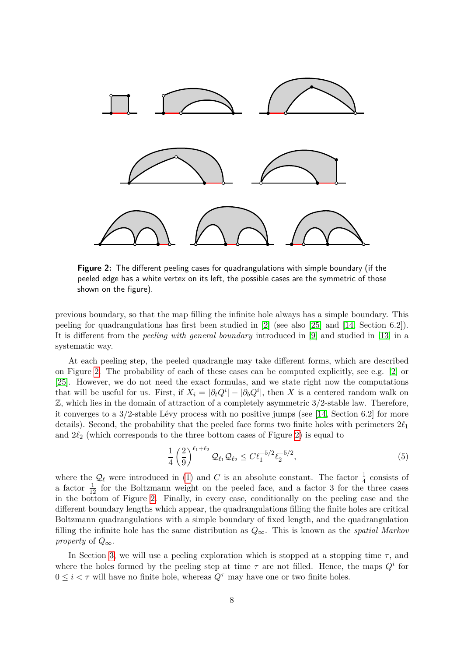<span id="page-7-0"></span>

**Figure 2:** The different peeling cases for quadrangulations with simple boundary (if the peeled edge has a white vertex on its left, the possible cases are the symmetric of those shown on the figure).

previous boundary, so that the map filling the infinite hole always has a simple boundary. This peeling for quadrangulations has first been studied in [\[2\]](#page-32-12) (see also [\[25\]](#page-33-7) and [\[14,](#page-32-14) Section 6.2]). It is different from the *peeling with general boundary* introduced in [\[9\]](#page-32-15) and studied in [\[13\]](#page-32-6) in a systematic way.

At each peeling step, the peeled quadrangle may take different forms, which are described on Figure [2.](#page-7-0) The probability of each of these cases can be computed explicitly, see e.g. [\[2\]](#page-32-12) or [\[25\]](#page-33-7). However, we do not need the exact formulas, and we state right now the computations that will be useful for us. First, if  $X_i = |\partial_t Q^i| - |\partial_b Q^i|$ , then *X* is a centered random walk on Z, which lies in the domain of attraction of a completely asymmetric 3*/*2-stable law. Therefore, it converges to a 3*/*2-stable Lévy process with no positive jumps (see [\[14,](#page-32-14) Section 6.2] for more details). Second, the probability that the peeled face forms two finite holes with perimeters  $2\ell_1$ and  $2\ell_2$  (which corresponds to the three bottom cases of Figure [2\)](#page-7-0) is equal to

<span id="page-7-1"></span>
$$
\frac{1}{4} \left(\frac{2}{9}\right)^{\ell_1+\ell_2} \mathcal{Q}_{\ell_1} \mathcal{Q}_{\ell_2} \le C \ell_1^{-5/2} \ell_2^{-5/2},\tag{5}
$$

where the  $\mathcal{Q}_\ell$  were introduced in [\(1\)](#page-4-1) and *C* is an absolute constant. The factor  $\frac{1}{4}$  consists of a factor  $\frac{1}{12}$  for the Boltzmann weight on the peeled face, and a factor 3 for the three cases in the bottom of Figure [2.](#page-7-0) Finally, in every case, conditionally on the peeling case and the different boundary lengths which appear, the quadrangulations filling the finite holes are critical Boltzmann quadrangulations with a simple boundary of fixed length, and the quadrangulation filling the infinite hole has the same distribution as  $Q_{\infty}$ . This is known as the *spatial Markov property* of  $Q_{\infty}$ .

In Section [3,](#page-13-0) we will use a peeling exploration which is stopped at a stopping time  $\tau$ , and where the holes formed by the peeling step at time  $\tau$  are not filled. Hence, the maps  $Q^i$  for  $0 \leq i < \tau$  will have no finite hole, whereas  $Q^{\tau}$  may have one or two finite holes.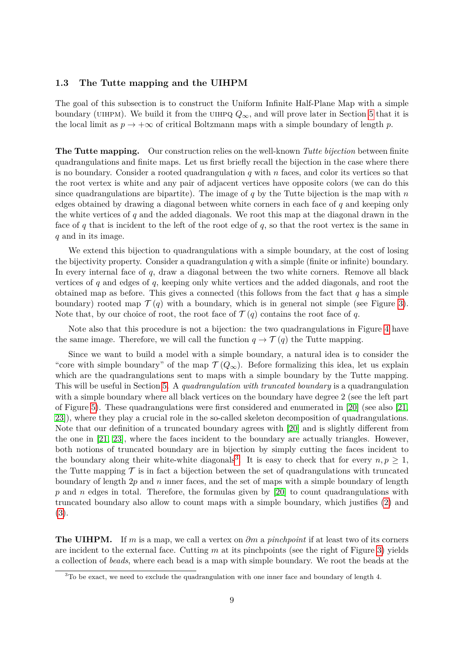#### <span id="page-8-0"></span>**1.3 The Tutte mapping and the UIHPM**

The goal of this subsection is to construct the Uniform Infinite Half-Plane Map with a simple boundary (UIHPM). We build it from the UIHPQ  $Q_{\infty}$ , and will prove later in Section [5](#page-23-0) that it is the local limit as  $p \to +\infty$  of critical Boltzmann maps with a simple boundary of length p.

**The Tutte mapping.** Our construction relies on the well-known *Tutte bijection* between finite quadrangulations and finite maps. Let us first briefly recall the bijection in the case where there is no boundary. Consider a rooted quadrangulation *q* with *n* faces, and color its vertices so that the root vertex is white and any pair of adjacent vertices have opposite colors (we can do this since quadrangulations are bipartite). The image of *q* by the Tutte bijection is the map with *n* edges obtained by drawing a diagonal between white corners in each face of *q* and keeping only the white vertices of *q* and the added diagonals. We root this map at the diagonal drawn in the face of *q* that is incident to the left of the root edge of *q*, so that the root vertex is the same in *q* and in its image.

We extend this bijection to quadrangulations with a simple boundary, at the cost of losing the bijectivity property. Consider a quadrangulation *q* with a simple (finite or infinite) boundary. In every internal face of *q*, draw a diagonal between the two white corners. Remove all black vertices of *q* and edges of *q*, keeping only white vertices and the added diagonals, and root the obtained map as before. This gives a connected (this follows from the fact that *q* has a simple boundary) rooted map  $\mathcal{T}(q)$  with a boundary, which is in general not simple (see Figure [3\)](#page-9-0). Note that, by our choice of root, the root face of  $\mathcal{T}(q)$  contains the root face of q.

Note also that this procedure is not a bijection: the two quadrangulations in Figure [4](#page-9-1) have the same image. Therefore, we will call the function  $q \to \mathcal{T}(q)$  the Tutte mapping.

Since we want to build a model with a simple boundary, a natural idea is to consider the "core with simple boundary" of the map  $\mathcal{T}(Q_{\infty})$ . Before formalizing this idea, let us explain which are the quadrangulations sent to maps with a simple boundary by the Tutte mapping. This will be useful in Section [5.](#page-23-0) A *quadrangulation with truncated boundary* is a quadrangulation with a simple boundary where all black vertices on the boundary have degree 2 (see the left part of Figure [5\)](#page-10-0). These quadrangulations were first considered and enumerated in [\[20\]](#page-33-0) (see also [\[21,](#page-33-6) [23\]](#page-33-5)), where they play a crucial role in the so-called skeleton decomposition of quadrangulations. Note that our definition of a truncated boundary agrees with [\[20\]](#page-33-0) and is slightly different from the one in [\[21,](#page-33-6) [23\]](#page-33-5), where the faces incident to the boundary are actually triangles. However, both notions of truncated boundary are in bijection by simply cutting the faces incident to the boundary along their white-white diagonals<sup>[3](#page-8-1)</sup>. It is easy to check that for every  $n, p \geq 1$ , the Tutte mapping  $\mathcal T$  is in fact a bijection between the set of quadrangulations with truncated boundary of length 2*p* and *n* inner faces, and the set of maps with a simple boundary of length *p* and *n* edges in total. Therefore, the formulas given by [\[20\]](#page-33-0) to count quadrangulations with truncated boundary also allow to count maps with a simple boundary, which justifies [\(2\)](#page-5-2) and [\(3\)](#page-5-3).

**The UIHPM.** If *m* is a map, we call a vertex on *∂m* a *pinchpoint* if at least two of its corners are incident to the external face. Cutting *m* at its pinchpoints (see the right of Figure [3\)](#page-9-0) yields a collection of *beads*, where each bead is a map with simple boundary. We root the beads at the

<span id="page-8-1"></span> $3$ To be exact, we need to exclude the quadrangulation with one inner face and boundary of length 4.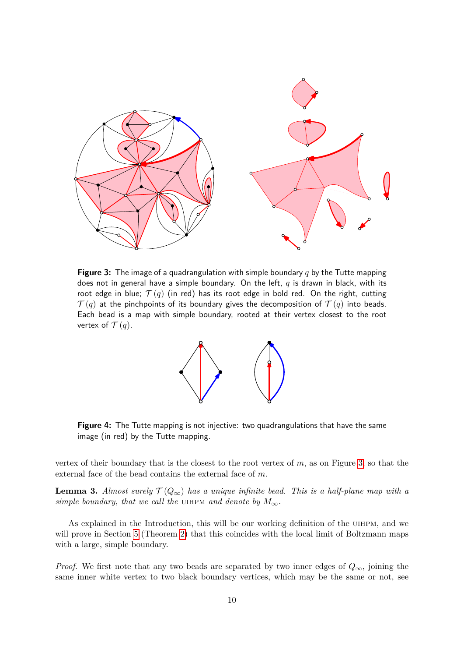<span id="page-9-0"></span>

<span id="page-9-1"></span>**Figure 3:** The image of a quadrangulation with simple boundary *q* by the Tutte mapping does not in general have a simple boundary. On the left, *q* is drawn in black, with its root edge in blue;  $\mathcal{T}(q)$  (in red) has its root edge in bold red. On the right, cutting  $\mathcal{T}(q)$  at the pinchpoints of its boundary gives the decomposition of  $\mathcal{T}(q)$  into beads. Each bead is a map with simple boundary, rooted at their vertex closest to the root vertex of  $\mathcal{T}(q)$ .



**Figure 4:** The Tutte mapping is not injective: two quadrangulations that have the same image (in red) by the Tutte mapping.

vertex of their boundary that is the closest to the root vertex of *m*, as on Figure [3,](#page-9-0) so that the external face of the bead contains the external face of *m*.

**Lemma 3.** *Almost surely*  $\mathcal{T}(Q_{\infty})$  *has a unique infinite bead. This is a half-plane map with a simple boundary, that we call the* UIHPM *and denote by*  $M_{\infty}$ *.* 

As explained in the Introduction, this will be our working definition of the UIHPM, and we will prove in Section [5](#page-23-0) (Theorem [2\)](#page-2-0) that this coincides with the local limit of Boltzmann maps with a large, simple boundary.

*Proof.* We first note that any two beads are separated by two inner edges of *Q*∞, joining the same inner white vertex to two black boundary vertices, which may be the same or not, see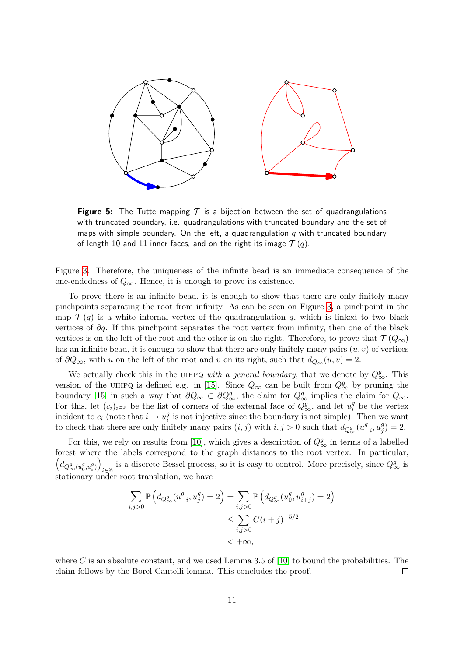<span id="page-10-0"></span>

**Figure 5:** The Tutte mapping  $\mathcal T$  is a bijection between the set of quadrangulations with truncated boundary, i.e. quadrangulations with truncated boundary and the set of maps with simple boundary. On the left, a quadrangulation *q* with truncated boundary of length 10 and 11 inner faces, and on the right its image  $\mathcal{T}(q)$ .

Figure [3.](#page-9-0) Therefore, the uniqueness of the infinite bead is an immediate consequence of the one-endedness of  $Q_{\infty}$ . Hence, it is enough to prove its existence.

To prove there is an infinite bead, it is enough to show that there are only finitely many pinchpoints separating the root from infinity. As can be seen on Figure [3,](#page-9-0) a pinchpoint in the map  $\mathcal{T}(q)$  is a white internal vertex of the quadrangulation q, which is linked to two black vertices of *∂q*. If this pinchpoint separates the root vertex from infinity, then one of the black vertices is on the left of the root and the other is on the right. Therefore, to prove that  $\mathcal{T}(Q_{\infty})$ has an infinite bead, it is enough to show that there are only finitely many pairs  $(u, v)$  of vertices of  $\partial Q_{\infty}$ , with *u* on the left of the root and *v* on its right, such that  $d_{Q_{\infty}}(u, v) = 2$ .

We actually check this in the UIHPQ *with a general boundary*, that we denote by  $Q^g_{\infty}$ . This version of the UIHPQ is defined e.g. in [\[15\]](#page-32-4). Since  $Q_{\infty}$  can be built from  $Q_{\infty}^g$  by pruning the boundary [\[15\]](#page-32-4) in such a way that  $\partial Q_{\infty} \subset \partial Q_{\infty}^g$ , the claim for  $Q_{\infty}^g$  implies the claim for  $Q_{\infty}$ . For this, let  $(c_i)_{i\in\mathbb{Z}}$  be the list of corners of the external face of  $Q^g_{\infty}$ , and let  $u_i^g$  $\frac{g}{i}$  be the vertex incident to  $c_i$  (note that  $i \to u_i^g$  $\frac{g}{i}$  is not injective since the boundary is not simple). Then we want to check that there are only finitely many pairs  $(i, j)$  with  $i, j > 0$  such that  $d_{Q^g_{\infty}}(u^g)$  $\frac{g}{-i}$ ,  $u_j^g$  $_{j}^{g}$  $) = 2.$ 

For this, we rely on results from [\[10\]](#page-32-5), which gives a description of  $Q^g_{\infty}$  in terms of a labelled forest where the labels correspond to the graph distances to the root vertex. In particular,  $(d_{Q^g_{\infty}(u^g_0, u^g_i)})$ i $\in \mathbb{Z}$  is a discrete Bessel process, so it is easy to control. More precisely, since  $Q^g_{\infty}$  is stationary under root translation, we have

$$
\sum_{i,j>0} \mathbb{P}\left(d_{Q^g_{\infty}}(u^g_{-i}, u^g_j) = 2\right) = \sum_{i,j>0} \mathbb{P}\left(d_{Q^g_{\infty}}(u^g_0, u^g_{i+j}) = 2\right)
$$
  

$$
\leq \sum_{i,j>0} C(i+j)^{-5/2}
$$
  

$$
< +\infty,
$$

where  $C$  is an absolute constant, and we used Lemma 3.5 of [\[10\]](#page-32-5) to bound the probabilities. The claim follows by the Borel-Cantelli lemma. This concludes the proof.  $\Box$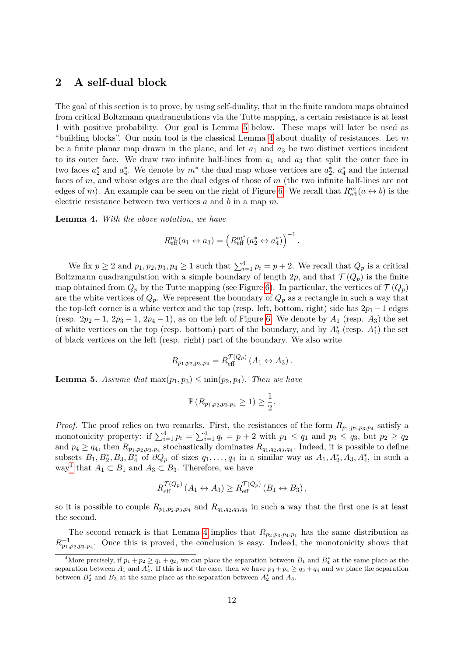### <span id="page-11-0"></span>**2 A self-dual block**

The goal of this section is to prove, by using self-duality, that in the finite random maps obtained from critical Boltzmann quadrangulations via the Tutte mapping, a certain resistance is at least 1 with positive probability. Our goal is Lemma [5](#page-11-1) below. These maps will later be used as "building blocks". Our main tool is the classical Lemma [4](#page-11-2) about duality of resistances. Let *m* be a finite planar map drawn in the plane, and let  $a_1$  and  $a_3$  be two distinct vertices incident to its outer face. We draw two infinite half-lines from  $a_1$  and  $a_3$  that split the outer face in two faces  $a_2^*$  and  $a_4^*$ . We denote by  $m^*$  the dual map whose vertices are  $a_2^*$ ,  $a_4^*$  and the internal faces of *m*, and whose edges are the dual edges of those of *m* (the two infinite half-lines are not edges of *m*). An example can be seen on the right of Figure [6.](#page-12-0) We recall that  $R_{\text{eff}}^m(a \leftrightarrow b)$  is the electric resistance between two vertices *a* and *b* in a map *m*.

<span id="page-11-2"></span>**Lemma 4.** *With the above notation, we have*

$$
R_{\text{eff}}^m(a_1 \leftrightarrow a_3) = \left(R_{\text{eff}}^{m^*}(a_2^* \leftrightarrow a_4^*)\right)^{-1}.
$$

We fix  $p \ge 2$  and  $p_1, p_2, p_3, p_4 \ge 1$  such that  $\sum_{i=1}^4 p_i = p + 2$ . We recall that  $Q_p$  is a critical Boltzmann quadrangulation with a simple boundary of length 2p, and that  $\mathcal{T}(Q_p)$  is the finite map obtained from  $Q_p$  by the Tutte mapping (see Figure [6\)](#page-12-0). In particular, the vertices of  $\mathcal{T}(Q_p)$ are the white vertices of  $Q_p$ . We represent the boundary of  $Q_p$  as a rectangle in such a way that the top-left corner is a white vertex and the top (resp. left, bottom, right) side has  $2p_1 - 1$  edges (resp.  $2p_2 - 1$ ,  $2p_3 - 1$ ,  $2p_4 - 1$ ), as on the left of Figure [6.](#page-12-0) We denote by  $A_1$  (resp.  $A_3$ ) the set of white vertices on the top (resp. bottom) part of the boundary, and by  $A_2^*$  (resp.  $A_4^*$ ) the set of black vertices on the left (resp. right) part of the boundary. We also write

$$
R_{p_1,p_2,p_3,p_4} = R_{\text{eff}}^{\mathcal{T}(Q_p)} (A_1 \leftrightarrow A_3).
$$

<span id="page-11-1"></span>**Lemma 5.** *Assume that*  $\max(p_1, p_3) \leq \min(p_2, p_4)$ *. Then we have* 

$$
\mathbb{P}\left(R_{p_1,p_2,p_3,p_4}\geq 1\right)\geq \frac{1}{2}.
$$

*Proof.* The proof relies on two remarks. First, the resistances of the form  $R_{p_1,p_2,p_3,p_4}$  satisfy a monotonicity property: if  $\sum_{i=1}^{4} p_i = \sum_{i=1}^{4} q_i = p + 2$  with  $p_1 \leq q_1$  and  $p_3 \leq q_3$ , but  $p_2 \geq q_2$ and  $p_4 \ge q_4$ , then  $R_{p_1,p_2,p_3,p_4}$  stochastically dominates  $R_{q_1,q_2,q_3,q_4}$ . Indeed, it is possible to define subsets  $B_1, B_2^*, B_3, B_4^*$  of  $\partial Q_p$  of sizes  $q_1, \ldots, q_4$  in a similar way as  $A_1, A_2^*, A_3, A_4^*$ , in such a way<sup>[4](#page-11-3)</sup> that  $A_1 \subset B_1$  and  $A_3 \subset B_3$ . Therefore, we have

$$
R_{\text{eff}}^{\mathcal{T}(Q_p)}(A_1 \leftrightarrow A_3) \geq R_{\text{eff}}^{\mathcal{T}(Q_p)}(B_1 \leftrightarrow B_3),
$$

so it is possible to couple  $R_{p_1,p_2,p_3,p_4}$  and  $R_{q_1,q_2,q_3,q_4}$  in such a way that the first one is at least the second.

The second remark is that Lemma [4](#page-11-2) implies that  $R_{p_2,p_3,p_4,p_1}$  has the same distribution as  $R_{p_1,p_2,p_3,p_4}^{-1}$ . Once this is proved, the conclusion is easy. Indeed, the monotonicity shows that

<span id="page-11-3"></span><sup>&</sup>lt;sup>4</sup>More precisely, if  $p_1 + p_2 \ge q_1 + q_2$ , we can place the separation between  $B_1$  and  $B_4^*$  at the same place as the separation between  $A_1$  and  $A_4^*$ . If this is not the case, then we have  $p_3 + p_4 \ge q_3 + q_4$  and we place the separation between  $B_2^*$  and  $B_3$  at the same place as the separation between  $A_2^*$  and  $A_3$ .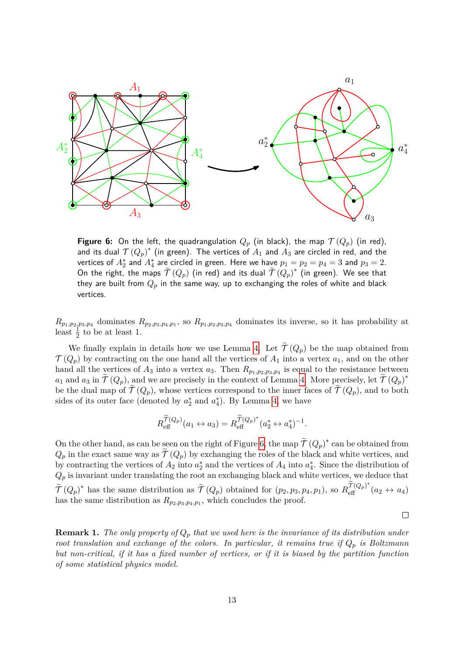<span id="page-12-0"></span>

**Figure 6:** On the left, the quadrangulation  $Q_p$  (in black), the map  $\mathcal{T}(Q_p)$  (in red), and its dual  $T(Q_p)^*$  (in green). The vertices of  $A_1$  and  $A_3$  are circled in red, and the vertices of  $A_2^*$  and  $A_4^*$  are circled in green. Here we have  $p_1 = p_2 = p_4 = 3$  and  $p_3 = 2$ . On the right, the maps  $\widetilde{\mathcal{T}}\left(Q_p\right)$  (in red) and its dual  $\widetilde{\mathcal{T}}\left(Q_p\right)^*$  (in green). We see that they are built from *Q<sup>p</sup>* in the same way, up to exchanging the roles of white and black vertices.

 $R_{p_1,p_2,p_3,p_4}$  dominates  $R_{p_2,p_3,p_4,p_1}$ , so  $R_{p_1,p_2,p_3,p_4}$  dominates its inverse, so it has probability at least  $\frac{1}{2}$  to be at least 1.

We finally explain in details how we use Lemma [4.](#page-11-2) Let  $\widetilde{\mathcal{T}}(Q_p)$  be the map obtained from  $\mathcal{T}(Q_p)$  by contracting on the one hand all the vertices of  $A_1$  into a vertex  $a_1$ , and on the other hand all the vertices of  $A_3$  into a vertex  $a_3$ . Then  $R_{p_1,p_2,p_3,p_4}$  is equal to the resistance between *a*<sub>1</sub> and *a*<sub>3</sub> in  $\widetilde{\mathcal{T}}(Q_p)$ , and we are precisely in the context of Lemma [4.](#page-11-2) More precisely, let  $\widetilde{\mathcal{T}}(Q_p)^*$ be the dual map of  $\mathcal{T}(Q_p)$ , whose vertices correspond to the inner faces of  $\mathcal{T}(Q_p)$ , and to both sides of its outer face (denoted by  $a_2^*$  and  $a_4^*$ ). By Lemma [4,](#page-11-2) we have

$$
R_{\text{eff}}^{\widetilde{\mathcal{T}}(Q_p)}(a_1 \leftrightarrow a_3) = R_{\text{eff}}^{\widetilde{\mathcal{T}}(Q_p)^*}(a_2^* \leftrightarrow a_4^*)^{-1}.
$$

On the other hand, as can be seen on the right of Figure [6,](#page-12-0) the map  $\tilde{\mathcal{T}}(Q_p)^*$  can be obtained from  $Q_p$  in the exact same way as  $\mathcal{T}(Q_p)$  by exchanging the roles of the black and white vertices, and by contracting the vertices of  $A_2$  into  $a_2^*$  and the vertices of  $A_4$  into  $a_4^*$ . Since the distribution of  $Q_p$  is invariant under translating the root an exchanging black and white vertices, we deduce that  $\widetilde{\mathcal{T}}(Q_p)^*$  has the same distribution as  $\widetilde{\mathcal{T}}(Q_p)$  obtained for  $(p_2, p_3, p_4, p_1)$ , so  $R_{\text{eff}}^{\widetilde{\mathcal{T}}(Q_p)^*}(a_2 \leftrightarrow a_4)$ has the same distribution as  $R_{p_2, p_3, p_4, p_1}$ , which concludes the proof.

 $\Box$ 

**Remark 1.** The only property of  $Q_p$  that we used here is the invariance of its distribution under *root translation and exchange of the colors. In particular, it remains true if Q<sup>p</sup> is Boltzmann but non-critical, if it has a fixed number of vertices, or if it is biased by the partition function of some statistical physics model.*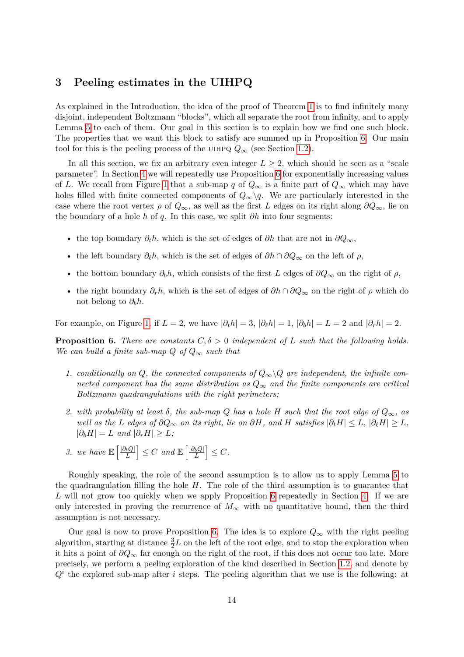### <span id="page-13-0"></span>**3 Peeling estimates in the UIHPQ**

As explained in the Introduction, the idea of the proof of Theorem [1](#page-1-0) is to find infinitely many disjoint, independent Boltzmann "blocks", which all separate the root from infinity, and to apply Lemma [5](#page-11-1) to each of them. Our goal in this section is to explain how we find one such block. The properties that we want this block to satisfy are summed up in Proposition [6.](#page-13-1) Our main tool for this is the peeling process of the UIHPQ  $Q_{\infty}$  (see Section [1.2\)](#page-5-0).

In all this section, we fix an arbitrary even integer  $L \geq 2$ , which should be seen as a "scale parameter". In Section [4](#page-19-0) we will repeatedly use Proposition [6](#page-13-1) for exponentially increasing values of *L*. We recall from Figure [1](#page-6-0) that a sub-map *q* of  $Q_{\infty}$  is a finite part of  $Q_{\infty}$  which may have holes filled with finite connected components of  $Q_{\infty}\backslash q$ . We are particularly interested in the case where the root vertex  $\rho$  of  $Q_{\infty}$ , as well as the first *L* edges on its right along  $\partial Q_{\infty}$ , lie on the boundary of a hole *h* of *q*. In this case, we split *∂h* into four segments:

- the top boundary  $\partial_t h$ , which is the set of edges of  $\partial h$  that are not in  $\partial Q_{\infty}$ ,
- the left boundary  $\partial_{\ell}h$ , which is the set of edges of  $\partial h \cap \partial Q_{\infty}$  on the left of  $\rho$ ,
- the bottom boundary  $\partial_b h$ , which consists of the first *L* edges of  $\partial Q_\infty$  on the right of  $\rho$ ,
- the right boundary  $\partial_r h$ , which is the set of edges of  $\partial h \cap \partial Q_\infty$  on the right of  $\rho$  which do not belong to  $\partial_b h$ .

For example, on Figure [1,](#page-6-0) if  $L = 2$ , we have  $|\partial_t h| = 3$ ,  $|\partial_\theta h| = 1$ ,  $|\partial_\theta h| = L = 2$  and  $|\partial_\theta h| = 2$ .

<span id="page-13-1"></span>**Proposition 6.** *There are constants*  $C, \delta > 0$  *independent of L such that the following holds. We can build a finite sub-map*  $Q$  *of*  $Q_{\infty}$  *such that* 

- <span id="page-13-4"></span>1. *conditionally on Q, the connected components of*  $Q_{\infty} \backslash Q$  *are independent, the infinite connected component has the same distribution as*  $Q_{\infty}$  *and the finite components are critical Boltzmann quadrangulations with the right perimeters;*
- <span id="page-13-3"></span>2. *with probability at least*  $\delta$ *, the sub-map*  $Q$  *has a hole*  $H$  *such that the root edge of*  $Q_{\infty}$ *, as well as the L edges of*  $\partial Q_{\infty}$  *on its right, lie on*  $\partial H$ *, and H satisfies*  $|\partial_t H| \leq L$ *,*  $|\partial_{\ell} H| \geq L$ *,*  $|\partial_h H| = L$  *and*  $|\partial_r H| \geq L$ *;*
- <span id="page-13-2"></span>*3. we have*  $\mathbb{E} \left[ \frac{|\partial_t Q|}{L} \right]$  $\left|\frac{d_e Q}{L}\right| \leq C$  and  $\mathbb{E}\left[\frac{|\partial_b Q|}{L}\right]$  $\left| \frac{bQ|}{L} \right| \leq C.$

Roughly speaking, the role of the second assumption is to allow us to apply Lemma [5](#page-11-1) to the quadrangulation filling the hole *H*. The role of the third assumption is to guarantee that *L* will not grow too quickly when we apply Proposition [6](#page-13-1) repeatedly in Section [4.](#page-19-0) If we are only interested in proving the recurrence of  $M_{\infty}$  with no quantitative bound, then the third assumption is not necessary.

Our goal is now to prove Proposition [6.](#page-13-1) The idea is to explore  $Q_{\infty}$  with the right peeling algorithm, starting at distance  $\frac{3}{2}L$  on the left of the root edge, and to stop the exploration when it hits a point of *∂Q*<sup>∞</sup> far enough on the right of the root, if this does not occur too late. More precisely, we perform a peeling exploration of the kind described in Section [1.2,](#page-5-0) and denote by  $Q<sup>i</sup>$  the explored sub-map after *i* steps. The peeling algorithm that we use is the following: at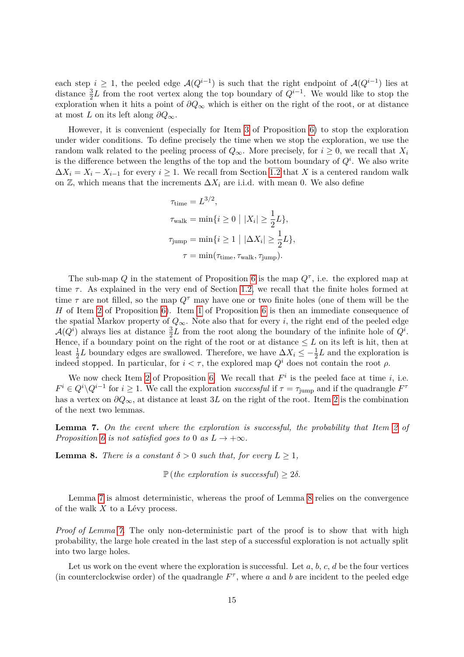each step  $i \geq 1$ , the peeled edge  $\mathcal{A}(Q^{i-1})$  is such that the right endpoint of  $\mathcal{A}(Q^{i-1})$  lies at distance  $\frac{3}{2}L$  from the root vertex along the top boundary of  $Q^{i-1}$ . We would like to stop the exploration when it hits a point of *∂Q*<sup>∞</sup> which is either on the right of the root, or at distance at most *L* on its left along *∂Q*∞.

However, it is convenient (especially for Item [3](#page-13-2) of Proposition [6\)](#page-13-1) to stop the exploration under wider conditions. To define precisely the time when we stop the exploration, we use the random walk related to the peeling process of  $Q_{\infty}$ . More precisely, for  $i \geq 0$ , we recall that  $X_i$ is the difference between the lengths of the top and the bottom boundary of  $Q^i$ . We also write  $\Delta X_i = X_i - X_{i-1}$  for every  $i \geq 1$ . We recall from Section [1.2](#page-5-0) that X is a centered random walk on  $\mathbb{Z}$ , which means that the increments  $\Delta X_i$  are i.i.d. with mean 0. We also define

$$
\tau_{\text{time}} = L^{3/2},
$$
  
\n
$$
\tau_{\text{walk}} = \min\{i \ge 0 \mid |X_i| \ge \frac{1}{2}L\},
$$
  
\n
$$
\tau_{\text{jump}} = \min\{i \ge 1 \mid |\Delta X_i| \ge \frac{1}{2}L\},
$$
  
\n
$$
\tau = \min(\tau_{\text{time}}, \tau_{\text{walk}}, \tau_{\text{jump}}).
$$

The sub-map  $Q$  in the statement of Proposition [6](#page-13-1) is the map  $Q^{\tau}$ , i.e. the explored map at time  $\tau$ . As explained in the very end of Section [1.2,](#page-5-0) we recall that the finite holes formed at time  $\tau$  are not filled, so the map  $Q^{\tau}$  may have one or two finite holes (one of them will be the *H* of Item [2](#page-13-3) of Proposition [6\)](#page-13-1). Item [1](#page-13-4) of Proposition [6](#page-13-1) is then an immediate consequence of the spatial Markov property of  $Q_{\infty}$ . Note also that for every *i*, the right end of the peeled edge  $\mathcal{A}(Q^i)$  always lies at distance  $\frac{3}{2}L$  from the root along the boundary of the infinite hole of  $Q^i$ . Hence, if a boundary point on the right of the root or at distance  $\leq L$  on its left is hit, then at least  $\frac{1}{2}L$  boundary edges are swallowed. Therefore, we have  $\Delta X_i \leq -\frac{1}{2}L$  and the exploration is indeed stopped. In particular, for  $i < \tau$ , the explored map  $Q^i$  does not contain the root  $\rho$ .

We now check Item [2](#page-13-3) of Proposition [6.](#page-13-1) We recall that  $F^i$  is the peeled face at time *i*, i.e.  $F^i \in Q^i \setminus Q^{i-1}$  for  $i \geq 1$ . We call the exploration *successful* if  $\tau = \tau_{\text{jump}}$  and if the quadrangle  $F^{\tau}$ has a vertex on *∂Q*∞, at distance at least 3*L* on the right of the root. Item [2](#page-13-3) is the combination of the next two lemmas.

<span id="page-14-0"></span>**Lemma 7.** *On the event where the exploration is successful, the probability that Item [2](#page-13-3) of Proposition* [6](#page-13-1) *is not satisfied goes to* 0 *as*  $L \rightarrow +\infty$ *.* 

<span id="page-14-1"></span>**Lemma 8.** *There is a constant*  $\delta > 0$  *such that, for every*  $L > 1$ *,* 

 $\mathbb{P}$  (*the exploration is successful*)  $> 2\delta$ .

Lemma [7](#page-14-0) is almost deterministic, whereas the proof of Lemma [8](#page-14-1) relies on the convergence of the walk *X* to a Lévy process.

*Proof of Lemma [7.](#page-14-0)* The only non-deterministic part of the proof is to show that with high probability, the large hole created in the last step of a successful exploration is not actually split into two large holes.

Let us work on the event where the exploration is successful. Let  $a, b, c, d$  be the four vertices (in counterclockwise order) of the quadrangle  $F^{\tau}$ , where *a* and *b* are incident to the peeled edge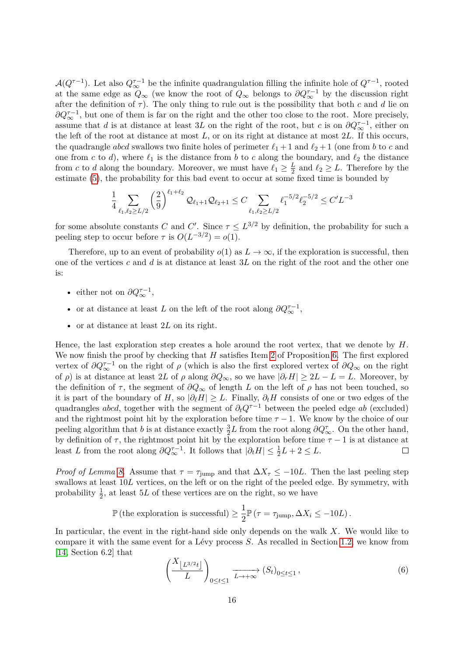$\mathcal{A}(Q^{\tau-1})$ . Let also  $Q_{\infty}^{\tau-1}$  be the infinite quadrangulation filling the infinite hole of  $Q^{\tau-1}$ , rooted at the same edge as  $Q_{\infty}$  (we know the root of  $Q_{\infty}$  belongs to  $\partial Q_{\infty}^{\tau-1}$  by the discussion right after the definition of  $\tau$ ). The only thing to rule out is the possibility that both *c* and *d* lie on  $\partial Q_{\infty}^{\tau-1}$ , but one of them is far on the right and the other too close to the root. More precisely, assume that *d* is at distance at least 3*L* on the right of the root, but *c* is on  $\partial Q_{\infty}^{\tau-1}$ , either on the left of the root at distance at most *L*, or on its right at distance at most 2*L*. If this occurs, the quadrangle *abcd* swallows two finite holes of perimeter  $\ell_1 + 1$  and  $\ell_2 + 1$  (one from *b* to *c* and one from *c* to *d*), where  $\ell_1$  is the distance from *b* to *c* along the boundary, and  $\ell_2$  the distance from *c* to *d* along the boundary. Moreover, we must have  $\ell_1 \geq \frac{L}{2}$  $\frac{L}{2}$  and  $\ell_2 \geq L$ . Therefore by the estimate [\(5\)](#page-7-1), the probability for this bad event to occur at some fixed time is bounded by

$$
\frac{1}{4} \sum_{\ell_1, \ell_2 \ge L/2} \left(\frac{2}{9}\right)^{\ell_1+\ell_2} \mathcal{Q}_{\ell_1+1} \mathcal{Q}_{\ell_2+1} \le C \sum_{\ell_1, \ell_2 \ge L/2} \ell_1^{-5/2} \ell_2^{-5/2} \le C'L^{-3}
$$

for some absolute constants *C* and *C'*. Since  $\tau \leq L^{3/2}$  by definition, the probability for such a peeling step to occur before  $\tau$  is  $O(L^{-3/2}) = o(1)$ .

Therefore, up to an event of probability  $o(1)$  as  $L \to \infty$ , if the exploration is successful, then one of the vertices *c* and *d* is at distance at least 3*L* on the right of the root and the other one is:

- either not on  $\partial Q^{\tau-1}_{\infty}$ ,
- or at distance at least *L* on the left of the root along  $\partial Q^{\tau-1}_{\infty}$ ,
- or at distance at least 2*L* on its right.

Hence, the last exploration step creates a hole around the root vertex, that we denote by *H*. We now finish the proof by checking that *H* satisfies Item [2](#page-13-3) of Proposition [6.](#page-13-1) The first explored vertex of  $\partial Q^{\tau-1}_{\infty}$  on the right of  $\rho$  (which is also the first explored vertex of  $\partial Q_{\infty}$  on the right of  $\rho$ ) is at distance at least 2*L* of  $\rho$  along  $\partial Q_{\infty}$ , so we have  $|\partial_r H| \geq 2L - L = L$ . Moreover, by the definition of  $\tau$ , the segment of  $\partial Q_{\infty}$  of length *L* on the left of  $\rho$  has not been touched, so it is part of the boundary of *H*, so  $|\partial_{\ell}H| \geq L$ . Finally,  $\partial_{t}H$  consists of one or two edges of the quadrangles *abcd*, together with the segment of  $\partial_t Q^{\tau-1}$  between the peeled edge *ab* (excluded) and the rightmost point hit by the exploration before time  $\tau - 1$ . We know by the choice of our peeling algorithm that *b* is at distance exactly  $\frac{3}{2}L$  from the root along  $\partial Q^{\tau}_{\infty}$ . On the other hand, by definition of  $\tau$ , the rightmost point hit by the exploration before time  $\tau - 1$  is at distance at least *L* from the root along  $\partial Q_{\infty}^{\tau-1}$ . It follows that  $|\partial_t H| \leq \frac{1}{2}L + 2 \leq L$ .  $\Box$ 

*Proof of Lemma [8.](#page-14-1)* Assume that  $\tau = \tau_{\text{jump}}$  and that  $\Delta X_{\tau} \leq -10L$ . Then the last peeling step swallows at least 10*L* vertices, on the left or on the right of the peeled edge. By symmetry, with probability  $\frac{1}{2}$ , at least 5*L* of these vertices are on the right, so we have

$$
\mathbb{P}\left(\text{the exploration is successful}\right) \geq \frac{1}{2}\mathbb{P}\left(\tau = \tau_{\text{jump}}, \Delta X_i \leq -10L\right).
$$

In particular, the event in the right-hand side only depends on the walk *X*. We would like to compare it with the same event for a Lévy process *S*. As recalled in Section [1.2,](#page-5-0) we know from [\[14,](#page-32-14) Section 6.2] that

<span id="page-15-0"></span>
$$
\left(\frac{X_{\lfloor L^{3/2}t \rfloor}}{L}\right)_{0 \le t \le 1} \xrightarrow{L \to +\infty} (S_t)_{0 \le t \le 1},
$$
\n(6)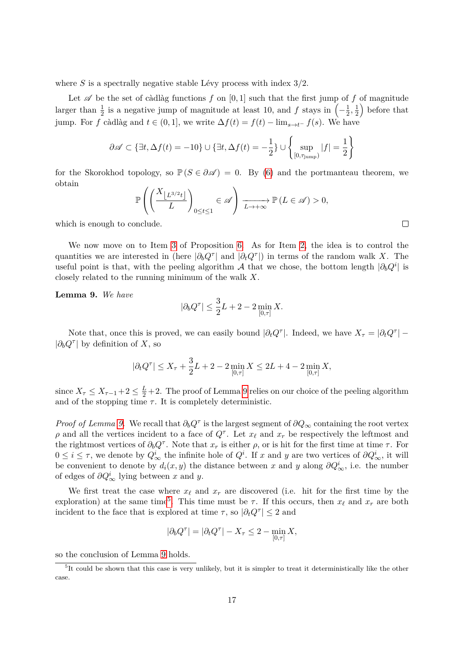where *S* is a spectrally negative stable Lévy process with index 3*/*2.

Let  $\mathscr A$  be the set of càdlàg functions  $f$  on  $[0,1]$  such that the first jump of  $f$  of magnitude larger than  $\frac{1}{2}$  is a negative jump of magnitude at least 10, and f stays in  $\left(-\frac{1}{2}\right)$  $\frac{1}{2}, \frac{1}{2}$  $(\frac{1}{2})$  before that jump. For *f* càdlàg and  $t \in (0, 1]$ , we write  $\Delta f(t) = f(t) - \lim_{s \to t^-} f(s)$ . We have

$$
\partial \mathscr{A} \subset \{ \exists t, \Delta f(t) = -10 \} \cup \{ \exists t, \Delta f(t) = -\frac{1}{2} \} \cup \left\{ \sup_{[0, \tau_{\text{jump}})} |f| = \frac{1}{2} \right\}
$$

for the Skorokhod topology, so  $\mathbb{P}(S \in \partial \mathscr{A}) = 0$ . By [\(6\)](#page-15-0) and the portmanteau theorem, we obtain

$$
\mathbb{P}\left(\left(\frac{X_{\left\lfloor L^{3/2}t\right\rfloor}}{L}\right)_{0\leq t\leq 1}\in\mathscr{A}\right)\xrightarrow[L\to+\infty]{}\mathbb{P}\left(L\in\mathscr{A}\right)>0,
$$

which is enough to conclude.

We now move on to Item [3](#page-13-2) of Proposition [6.](#page-13-1) As for Item [2,](#page-13-3) the idea is to control the quantities we are interested in (here  $|\partial_b Q^{\tau}|$  and  $|\partial_t Q^{\tau}|$ ) in terms of the random walk *X*. The useful point is that, with the peeling algorithm A that we chose, the bottom length  $|\partial_b Q^i|$  is closely related to the running minimum of the walk *X*.

<span id="page-16-0"></span>**Lemma 9.** *We have*

$$
|\partial_b Q^{\tau}| \le \frac{3}{2}L + 2 - 2 \min_{[0,\tau]} X.
$$

Note that, once this is proved, we can easily bound  $|\partial_t Q^{\tau}|$ . Indeed, we have  $X_{\tau} = |\partial_t Q^{\tau}|$  –  $|\partial_b Q^{\tau}|$  by definition of *X*, so

$$
|\partial_t Q^{\tau}| \le X_{\tau} + \frac{3}{2}L + 2 - 2 \min_{[0,\tau]} X \le 2L + 4 - 2 \min_{[0,\tau]} X,
$$

since  $X_{\tau} \leq X_{\tau-1}+2 \leq \frac{L}{2}+2$ . The proof of Lemma [9](#page-16-0) relies on our choice of the peeling algorithm and of the stopping time  $\tau$ . It is completely deterministic.

*Proof of Lemma [9.](#page-16-0)* We recall that  $\partial_b Q^{\tau}$  is the largest segment of  $\partial Q_{\infty}$  containing the root vertex *ρ* and all the vertices incident to a face of  $Q^{\tau}$ . Let  $x_{\ell}$  and  $x_r$  be respectively the leftmost and the rightmost vertices of  $\partial_b Q^{\tau}$ . Note that  $x_r$  is either  $\rho$ , or is hit for the first time at time  $\tau$ . For  $0 \leq i \leq \tau$ , we denote by  $Q^i_{\infty}$  the infinite hole of  $Q^i$ . If *x* and *y* are two vertices of  $\partial Q^i_{\infty}$ , it will be convenient to denote by  $d_i(x, y)$  the distance between x and y along  $\partial Q^i_{\infty}$ , i.e. the number of edges of  $\partial Q^i_{\infty}$  lying between *x* and *y*.

We first treat the case where  $x_\ell$  and  $x_r$  are discovered (i.e. hit for the first time by the exploration) at the same time<sup>[5](#page-16-1)</sup>. This time must be  $\tau$ . If this occurs, then  $x_{\ell}$  and  $x_r$  are both incident to the face that is explored at time  $\tau$ , so  $|\partial_t Q^{\tau}| \leq 2$  and

$$
|\partial_b Q^{\tau}| = |\partial_t Q^{\tau}| - X_{\tau} \le 2 - \min_{[0,\tau]} X,
$$

so the conclusion of Lemma [9](#page-16-0) holds.

 $\Box$ 

<span id="page-16-1"></span><sup>&</sup>lt;sup>5</sup>It could be shown that this case is very unlikely, but it is simpler to treat it deterministically like the other case.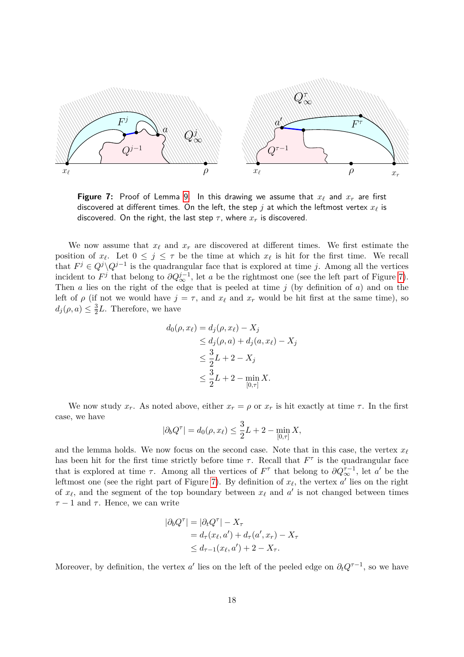<span id="page-17-0"></span>

**Figure 7:** Proof of Lemma [9.](#page-16-0) In this drawing we assume that  $x_\ell$  and  $x_r$  are first discovered at different times. On the left, the step  $j$  at which the leftmost vertex  $x_\ell$  is discovered. On the right, the last step  $\tau$ , where  $x_r$  is discovered.

We now assume that  $x_\ell$  and  $x_r$  are discovered at different times. We first estimate the position of  $x_\ell$ . Let  $0 \leq j \leq \tau$  be the time at which  $x_\ell$  is hit for the first time. We recall that  $F^j \in Q^j \setminus Q^{j-1}$  is the quadrangular face that is explored at time *j*. Among all the vertices incident to  $F^j$  that belong to  $\partial Q^{j-1}_{\infty}$ , let *a* be the rightmost one (see the left part of Figure [7\)](#page-17-0). Then *a* lies on the right of the edge that is peeled at time *j* (by definition of *a*) and on the left of  $\rho$  (if not we would have  $j = \tau$ , and  $x_{\ell}$  and  $x_r$  would be hit first at the same time), so  $d_j(\rho, a) \leq \frac{3}{2}$  $\frac{3}{2}L$ . Therefore, we have

$$
d_0(\rho, x_\ell) = d_j(\rho, x_\ell) - X_j
$$
  
\n
$$
\leq d_j(\rho, a) + d_j(a, x_\ell) - X_j
$$
  
\n
$$
\leq \frac{3}{2}L + 2 - X_j
$$
  
\n
$$
\leq \frac{3}{2}L + 2 - \min_{[0, \tau]} X.
$$

We now study  $x_r$ . As noted above, either  $x_r = \rho$  or  $x_r$  is hit exactly at time  $\tau$ . In the first case, we have

$$
|\partial_b Q^{\tau}| = d_0(\rho, x_{\ell}) \le \frac{3}{2}L + 2 - \min_{[0, \tau]} X,
$$

and the lemma holds. We now focus on the second case. Note that in this case, the vertex  $x_\ell$ has been hit for the first time strictly before time  $\tau$ . Recall that  $F^{\tau}$  is the quadrangular face that is explored at time  $\tau$ . Among all the vertices of  $F^{\tau}$  that belong to  $\partial Q_{\infty}^{\tau-1}$ , let *a*' be the leftmost one (see the right part of Figure [7\)](#page-17-0). By definition of  $x_{\ell}$ , the vertex  $a'$  lies on the right of  $x_{\ell}$ , and the segment of the top boundary between  $x_{\ell}$  and  $a'$  is not changed between times  $\tau - 1$  and  $\tau$ . Hence, we can write

$$
|\partial_b Q^{\tau}| = |\partial_t Q^{\tau}| - X_{\tau}
$$
  
=  $d_{\tau}(x_{\ell}, a') + d_{\tau}(a', x_{\tau}) - X_{\tau}$   

$$
\leq d_{\tau-1}(x_{\ell}, a') + 2 - X_{\tau}.
$$

Moreover, by definition, the vertex *a'* lies on the left of the peeled edge on  $\partial_t Q^{\tau-1}$ , so we have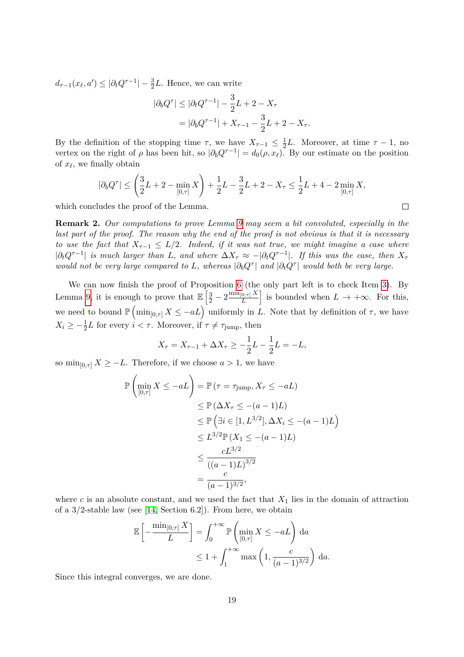$d_{\tau-1}(x_{\ell}, a') \leq |\partial_t Q^{\tau-1}| - \frac{3}{2}L$ . Hence, we can write

$$
|\partial_b Q^{\tau}| \le |\partial_t Q^{\tau-1}| - \frac{3}{2}L + 2 - X_{\tau}
$$
  
=  $|\partial_b Q^{\tau-1}| + X_{\tau-1} - \frac{3}{2}L + 2 - X_{\tau}.$ 

By the definition of the stopping time  $\tau$ , we have  $X_{\tau-1} \leq \frac{1}{2}$  $\frac{1}{2}L$ . Moreover, at time  $\tau - 1$ , no vertex on the right of  $\rho$  has been hit, so  $|\partial_b Q^{\tau-1}| = d_0(\rho, x_\ell)$ . By our estimate on the position of  $x_{\ell}$ , we finally obtain

$$
|\partial_b Q^\tau| \leq \left(\frac{3}{2}L + 2 - \min_{[0,\tau]} X\right) + \frac{1}{2}L - \frac{3}{2}L + 2 - X_\tau \leq \frac{1}{2}L + 4 - 2\min_{[0,\tau]} X,
$$

which concludes the proof of the Lemma.

**Remark 2.** *Our computations to prove Lemma [9](#page-16-0) may seem a bit convoluted, especially in the last part of the proof. The reason why the end of the proof is not obvious is that it is necessary to use the fact that*  $X_{\tau-1} \leq L/2$ *. Indeed, if it was not true, we might imagine a case where*  $|\partial_t Q^{\tau-1}|$  *is much larger than L, and where*  $\Delta X_\tau \approx -|\partial_t Q^{\tau-1}|$ *. If this was the case, then*  $X_\tau$ *would not be very large compared to L, whereas*  $|\partial_b Q^{\tau}|$  *and*  $|\partial_t Q^{\tau}|$  *would both be very large.* 

We can now finish the proof of Proposition [6](#page-13-1) (the only part left is to check Item [3\)](#page-13-2). By Lemma [9,](#page-16-0) it is enough to prove that  $\mathbb{E}\left[\frac{3}{2}-2\frac{\min_{[0,\tau]} X}{L}\right]$  $\left[\frac{[0,\tau]X}{L}\right]$  is bounded when  $L \to +\infty$ . For this, we need to bound  $\mathbb{P}(\min_{[0,\tau]} X \leq -aL)$  uniformly in *L*. Note that by definition of  $\tau$ , we have  $X_i \geq -\frac{1}{2}L$  for every  $i < \tau$ . Moreover, if  $\tau \neq \tau_{\text{jump}}$ , then

$$
X_{\tau} = X_{\tau - 1} + \Delta X_{\tau} \ge -\frac{1}{2}L - \frac{1}{2}L = -L,
$$

so  $\min_{[0,\tau]} X \geq -L$ . Therefore, if we choose  $a > 1$ , we have

$$
\mathbb{P}\left(\min_{[0,\tau]} X \le -aL\right) = \mathbb{P}\left(\tau = \tau_{\text{jump}}, X_{\tau} \le -aL\right)
$$
  
\n
$$
\le \mathbb{P}\left(\Delta X_{\tau} \le -(a-1)L\right)
$$
  
\n
$$
\le \mathbb{P}\left(\exists i \in [1, L^{3/2}], \Delta X_i \le -(a-1)L\right)
$$
  
\n
$$
\le L^{3/2} \mathbb{P}\left(X_1 \le -(a-1)L\right)
$$
  
\n
$$
\le \frac{cL^{3/2}}{\left((a-1)L\right)^{3/2}}
$$
  
\n
$$
= \frac{c}{(a-1)^{3/2}},
$$

 $\setminus$ 

 $\Box$ 

where  $c$  is an absolute constant, and we used the fact that  $X_1$  lies in the domain of attraction of a 3*/*2-stable law (see [\[14,](#page-32-14) Section 6.2]). From here, we obtain

$$
\mathbb{E}\left[-\frac{\min_{[0,\tau]} X}{L}\right] = \int_0^{+\infty} \mathbb{P}\left(\min_{[0,\tau]} X \le -aL\right) da
$$
  

$$
\le 1 + \int_1^{+\infty} \max\left(1, \frac{c}{(a-1)^{3/2}}\right) da.
$$

Since this integral converges, we are done.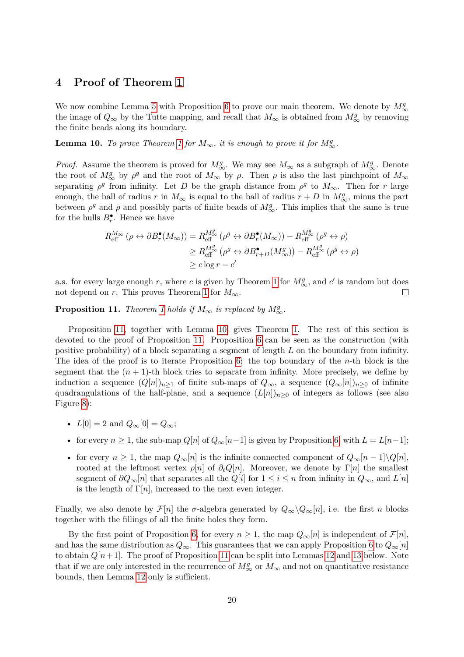# <span id="page-19-0"></span>**4 Proof of Theorem [1](#page-1-0)**

We now combine Lemma [5](#page-11-1) with Proposition [6](#page-13-1) to prove our main theorem. We denote by  $M^g_{\infty}$ the image of  $Q_{\infty}$  by the Tutte mapping, and recall that  $M_{\infty}$  is obtained from  $M_{\infty}^g$  by removing the finite beads along its boundary.

<span id="page-19-2"></span>**Lemma [1](#page-1-0)0.** *To prove Theorem 1 for*  $M_{\infty}$ *, it is enough to prove it for*  $M_{\infty}^g$ *.* 

*Proof.* Assume the theorem is proved for  $M^g_{\infty}$ . We may see  $M_{\infty}$  as a subgraph of  $M^g_{\infty}$ . Denote the root of  $M^g_{\infty}$  by  $\rho^g$  and the root of  $M_{\infty}$  by  $\rho$ . Then  $\rho$  is also the last pinchpoint of  $M_{\infty}$ separating  $\rho^g$  from infinity. Let *D* be the graph distance from  $\rho^g$  to  $M_\infty$ . Then for *r* large enough, the ball of radius *r* in  $M_{\infty}$  is equal to the ball of radius  $r + D$  in  $M_{\infty}^g$ , minus the part between  $\rho^g$  and  $\rho$  and possibly parts of finite beads of  $M^g_{\infty}$ . This implies that the same is true for the hulls  $B_r^{\bullet}$ . Hence we have

$$
R_{\text{eff}}^{M_{\infty}}\left(\rho \leftrightarrow \partial B_r^{\bullet}(M_{\infty})\right) = R_{\text{eff}}^{M_{\infty}^g}\left(\rho^g \leftrightarrow \partial B_r^{\bullet}(M_{\infty})\right) - R_{\text{eff}}^{M_{\infty}^g}\left(\rho^g \leftrightarrow \rho\right)
$$
  

$$
\geq R_{\text{eff}}^{M_{\infty}^g}\left(\rho^g \leftrightarrow \partial B_{r+D}^{\bullet}(M_{\infty}^g)\right) - R_{\text{eff}}^{M_{\infty}^g}\left(\rho^g \leftrightarrow \rho\right)
$$
  

$$
\geq c \log r - c'
$$

a.s. for every large enough  $r$ , where  $c$  is given by Theorem [1](#page-1-0) for  $M^g_{\infty}$ , and  $c'$  is random but does not depend on *r*. This proves Theorem [1](#page-1-0) for  $M_{\infty}$ .  $\Box$ 

<span id="page-19-1"></span>**Proposition [1](#page-1-0)1.** *Theorem 1 holds if*  $M_{\infty}$  *is replaced by*  $M_{\infty}^g$ .

Proposition [11,](#page-19-1) together with Lemma [10,](#page-19-2) gives Theorem [1.](#page-1-0) The rest of this section is devoted to the proof of Proposition [11.](#page-19-1) Proposition [6](#page-13-1) can be seen as the construction (with positive probability) of a block separating a segment of length *L* on the boundary from infinity. The idea of the proof is to iterate Proposition [6:](#page-13-1) the top boundary of the *n*-th block is the segment that the  $(n+1)$ -th block tries to separate from infinity. More precisely, we define by induction a sequence  $(Q[n])_{n\geq 1}$  of finite sub-maps of  $Q_{\infty}$ , a sequence  $(Q_{\infty}[n])_{n\geq 0}$  of infinite quadrangulations of the half-plane, and a sequence  $(L[n])_{n\geq 0}$  of integers as follows (see also Figure [8\)](#page-20-0):

- $L[0] = 2$  and  $Q_{\infty}[0] = Q_{\infty};$
- for every  $n \geq 1$ , the sub-map  $Q[n]$  of  $Q_{\infty}[n-1]$  is given by Proposition [6,](#page-13-1) with  $L = L[n-1]$ ;
- for every  $n \geq 1$ , the map  $Q_{\infty}[n]$  is the infinite connected component of  $Q_{\infty}[n-1]\backslash Q[n]$ , rooted at the leftmost vertex  $\rho[n]$  of  $\partial_t Q[n]$ . Moreover, we denote by  $\Gamma[n]$  the smallest segment of  $\partial Q_{\infty}[n]$  that separates all the  $Q[i]$  for  $1 \leq i \leq n$  from infinity in  $Q_{\infty}$ , and  $L[n]$ is the length of  $\Gamma[n]$ , increased to the next even integer.

Finally, we also denote by  $\mathcal{F}[n]$  the  $\sigma$ -algebra generated by  $Q_{\infty} \setminus Q_{\infty}[n]$ , i.e. the first *n* blocks together with the fillings of all the finite holes they form.

By the first point of Proposition [6,](#page-13-1) for every  $n \geq 1$ , the map  $Q_{\infty}[n]$  is independent of  $\mathcal{F}[n]$ , and has the same distribution as  $Q_{\infty}$ . This guarantees that we can apply Proposition [6](#page-13-1) to  $Q_{\infty}[n]$ to obtain  $Q[n+1]$ . The proof of Proposition [11](#page-19-1) can be split into Lemmas [12](#page-20-1) and [13](#page-20-2) below. Note that if we are only interested in the recurrence of  $M^g_{\infty}$  or  $M^{\infty}_{\infty}$  and not on quantitative resistance bounds, then Lemma [12](#page-20-1) only is sufficient.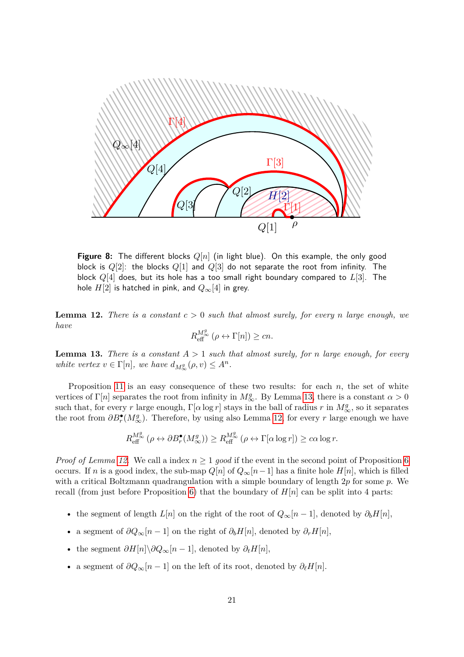<span id="page-20-0"></span>

**Figure 8:** The different blocks *Q*[*n*] (in light blue). On this example, the only good block is *Q*[2]: the blocks *Q*[1] and *Q*[3] do not separate the root from infinity. The block *Q*[4] does, but its hole has a too small right boundary compared to *L*[3]. The hole  $H[2]$  is hatched in pink, and  $Q_{\infty}[4]$  in grey.

<span id="page-20-1"></span>**Lemma 12.** *There is a constant*  $c > 0$  *such that almost surely, for every n large enough, we have*

$$
R_{\text{eff}}^{M_{\infty}^{g}}\left(\rho\leftrightarrow\Gamma[n]\right)\geq cn.
$$

<span id="page-20-2"></span>**Lemma 13.** *There is a constant*  $A > 1$  *such that almost surely, for n large enough, for every white vertex*  $v \in \Gamma[n]$ *, we have*  $d_{M^g_\infty}(\rho, v) \leq A^n$ *.* 

Proposition [11](#page-19-1) is an easy consequence of these two results: for each *n*, the set of white vertices of  $\Gamma[n]$  separates the root from infinity in  $M^g_{\infty}$ . By Lemma [13,](#page-20-2) there is a constant  $\alpha > 0$ such that, for every *r* large enough,  $\Gamma[\alpha \log r]$  stays in the ball of radius *r* in  $M^g_{\infty}$ , so it separates the root from  $\partial B_r^{\bullet}(M^g_{\infty})$ . Therefore, by using also Lemma [12,](#page-20-1) for every *r* large enough we have

$$
R_{\text{eff}}^{M_{\infty}^{g}}\left(\rho\leftrightarrow\partial B_{r}^{\bullet}(M_{\infty}^{g})\right)\geq R_{\text{eff}}^{M_{\infty}^{g}}\left(\rho\leftrightarrow\Gamma[\alpha\log r]\right)\geq c\alpha\log r.
$$

*Proof of Lemma [12.](#page-20-1)* We call a index  $n \geq 1$  *good* if the event in the second point of Proposition [6](#page-13-1) occurs. If *n* is a good index, the sub-map  $Q[n]$  of  $Q_{\infty}[n-1]$  has a finite hole  $H[n]$ , which is filled with a critical Boltzmann quadrangulation with a simple boundary of length 2*p* for some *p*. We recall (from just before Proposition [6\)](#page-13-1) that the boundary of *H*[*n*] can be split into 4 parts:

- the segment of length  $L[n]$  on the right of the root of  $Q_{\infty}[n-1]$ , denoted by  $\partial_b H[n]$ ,
- a segment of  $\partial Q_{\infty}[n-1]$  on the right of  $\partial_b H[n]$ , denoted by  $\partial_r H[n]$ ,
- the segment  $\partial H[n] \setminus \partial Q_{\infty}[n-1]$ , denoted by  $\partial_t H[n]$ ,
- a segment of  $\partial Q_{\infty}[n-1]$  on the left of its root, denoted by  $\partial_{\ell}H[n]$ .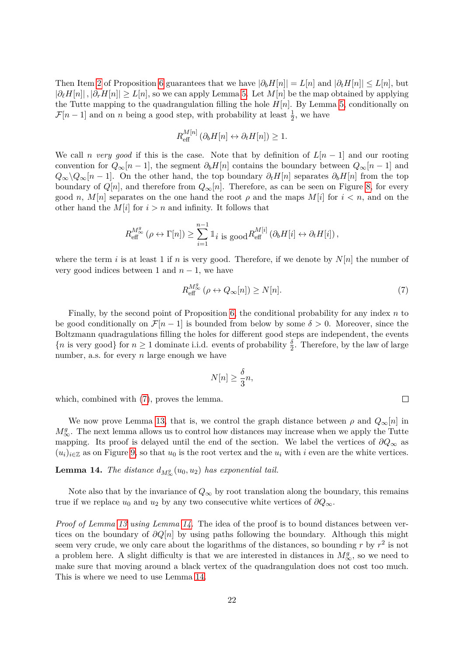Then Item [2](#page-13-3) of Proposition [6](#page-13-1) guarantees that we have  $|\partial_h H[n]| = L[n]$  and  $|\partial_t H[n]| \leq L[n]$ , but  $|\partial_{\ell}H[n]|$ ,  $|\partial_{r}H[n]| \geq L[n]$ , so we can apply Lemma [5.](#page-11-1) Let  $M[n]$  be the map obtained by applying the Tutte mapping to the quadrangulation filling the hole  $H[n]$ . By Lemma [5,](#page-11-1) conditionally on  $\mathcal{F}[n-1]$  and on *n* being a good step, with probability at least  $\frac{1}{2}$ , we have

$$
R_{\text{eff}}^{M[n]}\left(\partial_b H[n] \leftrightarrow \partial_t H[n]\right) \ge 1.
$$

We call *n* very good if this is the case. Note that by definition of  $L[n-1]$  and our rooting convention for  $Q_{\infty}[n-1]$ , the segment  $\partial_b H[n]$  contains the boundary between  $Q_{\infty}[n-1]$  and  $Q_{\infty} \setminus Q_{\infty}[n-1]$ . On the other hand, the top boundary  $\partial_t H[n]$  separates  $\partial_b H[n]$  from the top boundary of  $Q[n]$ , and therefore from  $Q_{\infty}[n]$ . Therefore, as can be seen on Figure [8,](#page-20-0) for every good *n*,  $M[n]$  separates on the one hand the root  $\rho$  and the maps  $M[i]$  for  $i < n$ , and on the other hand the  $M[i]$  for  $i > n$  and infinity. It follows that

$$
R_{\text{eff}}^{M_{\infty}^{g}}\left(\rho\leftrightarrow\Gamma[n]\right)\geq\sum_{i=1}^{n-1}\mathbb{1}_{i}\text{ is good }R_{\text{eff}}^{M[i]}\left(\partial_{b}H[i]\leftrightarrow\partial_{t}H[i]\right),
$$

where the term *i* is at least 1 if *n* is very good. Therefore, if we denote by  $N[n]$  the number of very good indices between 1 and  $n-1$ , we have

<span id="page-21-0"></span>
$$
R_{\text{eff}}^{M_{\infty}^{g}}\left(\rho\leftrightarrow Q_{\infty}[n]\right)\geq N[n].\tag{7}
$$

 $\Box$ 

Finally, by the second point of Proposition [6,](#page-13-1) the conditional probability for any index *n* to be good conditionally on  $\mathcal{F}[n-1]$  is bounded from below by some  $\delta > 0$ . Moreover, since the Boltzmann quadragulations filling the holes for different good steps are independent, the events  ${n \text{ is very good}}$  for  $n \geq 1$  dominate i.i.d. events of probability  $\frac{\delta}{2}$ . Therefore, by the law of large number, a.s. for every *n* large enough we have

$$
N[n] \ge \frac{\delta}{3}n,
$$

which, combined with  $(7)$ , proves the lemma.

We now prove Lemma [13,](#page-20-2) that is, we control the graph distance between  $\rho$  and  $Q_{\infty}[n]$  in  $M^g_{\infty}$ . The next lemma allows us to control how distances may increase when we apply the Tutte mapping. Its proof is delayed until the end of the section. We label the vertices of *∂Q*<sup>∞</sup> as  $(u_i)_{i \in \mathbb{Z}}$  as on Figure [9,](#page-23-1) so that  $u_0$  is the root vertex and the  $u_i$  with *i* even are the white vertices.

# <span id="page-21-1"></span>**Lemma 14.** *The distance*  $d_{M^g_\infty}(u_0, u_2)$  *has exponential tail.*

Note also that by the invariance of  $Q_{\infty}$  by root translation along the boundary, this remains true if we replace  $u_0$  and  $u_2$  by any two consecutive white vertices of  $\partial Q_{\infty}$ .

*Proof of Lemma [13](#page-20-2) using Lemma [14.](#page-21-1)* The idea of the proof is to bound distances between vertices on the boundary of *∂Q*[*n*] by using paths following the boundary. Although this might seem very crude, we only care about the logarithms of the distances, so bounding  $r$  by  $r^2$  is not a problem here. A slight difficulty is that we are interested in distances in  $M^g_{\infty}$ , so we need to make sure that moving around a black vertex of the quadrangulation does not cost too much. This is where we need to use Lemma [14.](#page-21-1)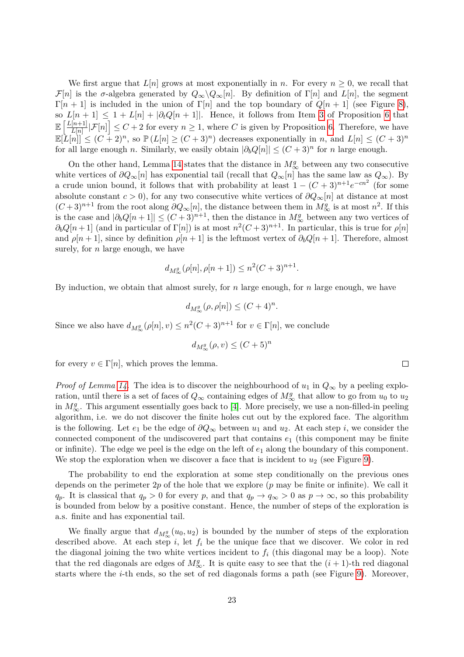We first argue that  $L[n]$  grows at most exponentially in *n*. For every  $n \geq 0$ , we recall that  $\mathcal{F}[n]$  is the *σ*-algebra generated by  $Q_{\infty}\backslash Q_{\infty}[n]$ . By definition of  $\Gamma[n]$  and  $L[n]$ , the segment Γ[*n* + 1] is included in the union of Γ[*n*] and the top boundary of *Q*[*n* + 1] (see Figure [8\)](#page-20-0), so  $L[n+1] \leq 1 + L[n] + |\partial_t Q[n+1]|$ . Hence, it follows from Item [3](#page-13-2) of Proposition [6](#page-13-1) that  $\mathbb{E}\left[\frac{L[n+1]}{L}\right]$  $\left[\frac{[n+1]}{L[n]} \middle| \mathcal{F}[n]\right] \leq C + 2$  for every  $n \geq 1$ , where *C* is given by Proposition [6.](#page-13-1) Therefore, we have  $\mathbb{E}[L[n]] \leq (C+2)^n$ , so  $\mathbb{P}(L[n] \geq (C+3)^n)$  decreases exponentially in *n*, and  $L[n] \leq (C+3)^n$ for all large enough *n*. Similarly, we easily obtain  $|\partial_b Q[n]| \leq (C+3)^n$  for *n* large enough.

On the other hand, Lemma [14](#page-21-1) states that the distance in  $M^g_\infty$  between any two consecutive white vertices of  $\partial Q_{\infty}[n]$  has exponential tail (recall that  $Q_{\infty}[n]$  has the same law as  $Q_{\infty}$ ). By a crude union bound, it follows that with probability at least  $1 - (C + 3)^{n+1}e^{-cn^2}$  (for some absolute constant  $c > 0$ , for any two consecutive white vertices of  $\partial Q_{\infty}[n]$  at distance at most  $(C+3)^{n+1}$  from the root along  $\partial Q_{\infty}[n]$ , the distance between them in  $M^g_{\infty}$  is at most  $n^2$ . If this is the case and  $|\partial_b Q[n+1]| \leq (C+3)^{n+1}$ , then the distance in  $M^g_{\infty}$  between any two vertices of  $\partial_b Q[n+1]$  (and in particular of  $\Gamma[n]$ ) is at most  $n^2(C+3)^{n+1}$ . In particular, this is true for  $\rho[n]$ and  $\rho[n+1]$ , since by definition  $\rho[n+1]$  is the leftmost vertex of  $\partial_b Q[n+1]$ . Therefore, almost surely, for *n* large enough, we have

$$
d_{M^g_{\infty}}(\rho[n], \rho[n+1]) \le n^2(C+3)^{n+1}.
$$

By induction, we obtain that almost surely, for *n* large enough, for *n* large enough, we have

$$
d_{M^g_{\infty}}(\rho, \rho[n]) \le (C+4)^n.
$$

Since we also have  $d_{M^g_{\infty}}(\rho[n], v) \leq n^2(C+3)^{n+1}$  for  $v \in \Gamma[n]$ , we conclude

$$
d_{M^g_\infty}(\rho, v) \le (C+5)^n
$$

for every  $v \in \Gamma[n]$ , which proves the lemma.

*Proof of Lemma* [14.](#page-21-1) The idea is to discover the neighbourhood of  $u_1$  in  $Q_{\infty}$  by a peeling exploration, until there is a set of faces of  $Q_{\infty}$  containing edges of  $M^g_{\infty}$  that allow to go from  $u_0$  to  $u_2$ in  $M^g_{\infty}$ . This argument essentially goes back to [\[4\]](#page-32-0). More precisely, we use a non-filled-in peeling algorithm, i.e. we do not discover the finite holes cut out by the explored face. The algorithm is the following. Let  $e_1$  be the edge of  $\partial Q_\infty$  between  $u_1$  and  $u_2$ . At each step *i*, we consider the connected component of the undiscovered part that contains *e*<sup>1</sup> (this component may be finite or infinite). The edge we peel is the edge on the left of *e*<sup>1</sup> along the boundary of this component. We stop the exploration when we discover a face that is incident to  $u_2$  (see Figure [9\)](#page-23-1).

The probability to end the exploration at some step conditionally on the previous ones depends on the perimeter 2*p* of the hole that we explore (*p* may be finite or infinite). We call it *q*<sub>*p*</sub>. It is classical that  $q_p > 0$  for every *p*, and that  $q_p \to q_\infty > 0$  as  $p \to \infty$ , so this probability is bounded from below by a positive constant. Hence, the number of steps of the exploration is a.s. finite and has exponential tail.

We finally argue that  $d_{M^g_\infty}(u_0, u_2)$  is bounded by the number of steps of the exploration described above. At each step  $i$ , let  $f_i$  be the unique face that we discover. We color in red the diagonal joining the two white vertices incident to *f<sup>i</sup>* (this diagonal may be a loop). Note that the red diagonals are edges of  $M^g_{\infty}$ . It is quite easy to see that the  $(i + 1)$ -th red diagonal starts where the *i*-th ends, so the set of red diagonals forms a path (see Figure [9\)](#page-23-1). Moreover,

 $\Box$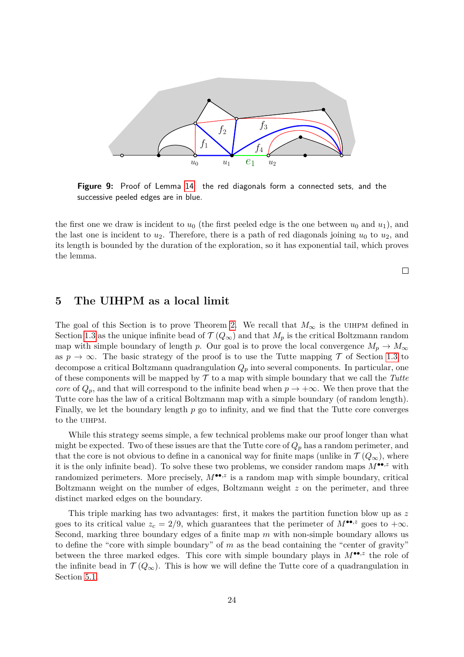<span id="page-23-1"></span>

**Figure 9:** Proof of Lemma [14:](#page-21-1) the red diagonals form a connected sets, and the successive peeled edges are in blue.

the first one we draw is incident to  $u_0$  (the first peeled edge is the one between  $u_0$  and  $u_1$ ), and the last one is incident to  $u_2$ . Therefore, there is a path of red diagonals joining  $u_0$  to  $u_2$ , and its length is bounded by the duration of the exploration, so it has exponential tail, which proves the lemma.

 $\Box$ 

### <span id="page-23-0"></span>**5 The UIHPM as a local limit**

The goal of this Section is to prove Theorem [2.](#page-2-0) We recall that  $M_{\infty}$  is the UIHPM defined in Section [1.3](#page-8-0) as the unique infinite bead of  $\mathcal{T}(Q_{\infty})$  and that  $M_p$  is the critical Boltzmann random map with simple boundary of length *p*. Our goal is to prove the local convergence  $M_p \to M_\infty$ as  $p \to \infty$ . The basic strategy of the proof is to use the Tutte mapping  $\mathcal T$  of Section [1.3](#page-8-0) to decompose a critical Boltzmann quadrangulation *Q<sup>p</sup>* into several components. In particular, one of these components will be mapped by  $\mathcal T$  to a map with simple boundary that we call the *Tutte core* of  $Q_p$ , and that will correspond to the infinite bead when  $p \to +\infty$ . We then prove that the Tutte core has the law of a critical Boltzmann map with a simple boundary (of random length). Finally, we let the boundary length *p* go to infinity, and we find that the Tutte core converges to the uihpm.

While this strategy seems simple, a few technical problems make our proof longer than what might be expected. Two of these issues are that the Tutte core of  $Q_p$  has a random perimeter, and that the core is not obvious to define in a canonical way for finite maps (unlike in  $\mathcal{T}(Q_{\infty})$ , where it is the only infinite bead). To solve these two problems, we consider random maps  $M^{\bullet\bullet,z}$  with randomized perimeters. More precisely,  $M^{\bullet\bullet,z}$  is a random map with simple boundary, critical Boltzmann weight on the number of edges, Boltzmann weight *z* on the perimeter, and three distinct marked edges on the boundary.

This triple marking has two advantages: first, it makes the partition function blow up as *z* goes to its critical value  $z_c = 2/9$ , which guarantees that the perimeter of  $M^{\bullet\bullet,z}$  goes to  $+\infty$ . Second, marking three boundary edges of a finite map *m* with non-simple boundary allows us to define the "core with simple boundary" of *m* as the bead containing the "center of gravity" between the three marked edges. This core with simple boundary plays in  $M^{\bullet\bullet,z}$  the role of the infinite bead in  $\mathcal{T}(Q_{\infty})$ . This is how we will define the Tutte core of a quadrangulation in Section [5.1.](#page-24-0)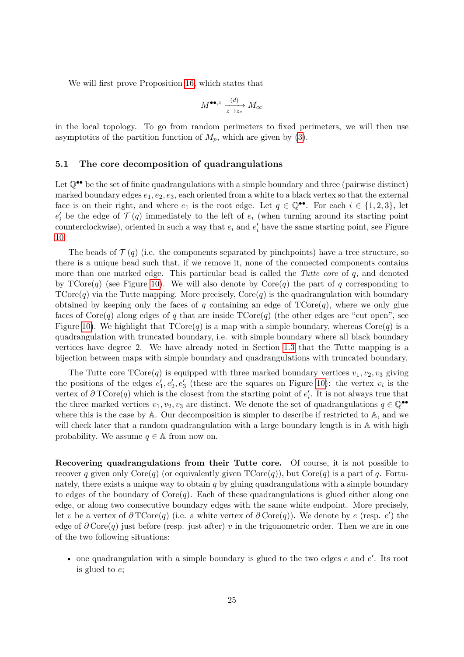We will first prove Proposition [16,](#page-28-1) which states that

$$
M^{\bullet\bullet,z}\xrightarrow[z\to z_c]{(d)}M_\infty
$$

in the local topology. To go from random perimeters to fixed perimeters, we will then use asymptotics of the partition function of  $M_p$ , which are given by [\(3\)](#page-5-3).

#### <span id="page-24-0"></span>**5.1 The core decomposition of quadrangulations**

Let  $\mathbb{Q}^{\bullet\bullet}$  be the set of finite quadrangulations with a simple boundary and three (pairwise distinct) marked boundary edges  $e_1, e_2, e_3$ , each oriented from a white to a black vertex so that the external face is on their right, and where  $e_1$  is the root edge. Let  $q \in \mathbb{Q}^{\bullet \bullet}$ . For each  $i \in \{1,2,3\}$ , let  $e'_{i}$  be the edge of  $\mathcal{T}(q)$  immediately to the left of  $e_{i}$  (when turning around its starting point counterclockwise), oriented in such a way that  $e_i$  and  $e'_i$  have the same starting point, see Figure [10.](#page-25-0)

The beads of  $\mathcal{T}(q)$  (i.e. the components separated by pinchpoints) have a tree structure, so there is a unique bead such that, if we remove it, none of the connected components contains more than one marked edge. This particular bead is called the *Tutte core* of *q*, and denoted by  $\text{TCore}(q)$  (see Figure [10\)](#page-25-0). We will also denote by  $\text{Core}(q)$  the part of *q* corresponding to  $\text{TCore}(q)$  via the Tutte mapping. More precisely,  $\text{Core}(q)$  is the quadrangulation with boundary obtained by keeping only the faces of *q* containing an edge of  $TCore(q)$ , where we only glue faces of  $\text{Core}(q)$  along edges of q that are inside  $\text{TCP}(q)$  (the other edges are "cut open", see Figure [10\)](#page-25-0). We highlight that  $\text{Tore}(q)$  is a map with a simple boundary, whereas  $\text{Core}(q)$  is a quadrangulation with truncated boundary, i.e. with simple boundary where all black boundary vertices have degree 2. We have already noted in Section [1.3](#page-8-0) that the Tutte mapping is a bijection between maps with simple boundary and quadrangulations with truncated boundary.

The Tutte core  $\text{TCore}(q)$  is equipped with three marked boundary vertices  $v_1, v_2, v_3$  giving the positions of the edges  $e'_1, e'_2, e'_3$  (these are the squares on Figure [10\)](#page-25-0): the vertex  $v_i$  is the vertex of  $\partial \text{TCore}(q)$  which is the closest from the starting point of  $e'_i$ . It is not always true that the three marked vertices  $v_1, v_2, v_3$  are distinct. We denote the set of quadrangulations  $q \in \mathbb{Q}^{\bullet\bullet}$ where this is the case by A. Our decomposition is simpler to describe if restricted to A, and we will check later that a random quadrangulation with a large boundary length is in  $\mathbb A$  with high probability. We assume  $q \in A$  from now on.

**Recovering quadrangulations from their Tutte core.** Of course, it is not possible to recover *q* given only  $\text{Core}(q)$  (or equivalently given  $\text{TCore}(q)$ ), but  $\text{Core}(q)$  is a part of *q*. Fortunately, there exists a unique way to obtain *q* by gluing quadrangulations with a simple boundary to edges of the boundary of  $Core(q)$ . Each of these quadrangulations is glued either along one edge, or along two consecutive boundary edges with the same white endpoint. More precisely, let *v* be a vertex of  $\partial \text{TCore}(q)$  (i.e. a white vertex of  $\partial \text{Core}(q)$ ). We denote by *e* (resp. *e'*) the edge of *∂* Core(*q*) just before (resp. just after) *v* in the trigonometric order. Then we are in one of the two following situations:

• one quadrangulation with a simple boundary is glued to the two edges  $e$  and  $e'$ . Its root is glued to *e*;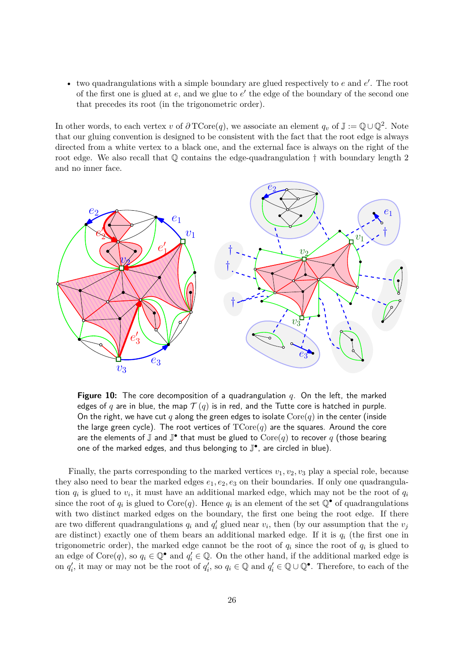$\bullet$  two quadrangulations with a simple boundary are glued respectively to  $e$  and  $e'$ . The root of the first one is glued at  $e$ , and we glue to  $e'$  the edge of the boundary of the second one that precedes its root (in the trigonometric order).

In other words, to each vertex *v* of  $\partial \text{TCore}(q)$ , we associate an element  $q_v$  of  $\mathbb{J} := \mathbb{Q} \cup \mathbb{Q}^2$ . Note that our gluing convention is designed to be consistent with the fact that the root edge is always directed from a white vertex to a black one, and the external face is always on the right of the root edge. We also recall that  $\mathbb Q$  contains the edge-quadrangulation  $\dagger$  with boundary length 2 and no inner face.

<span id="page-25-0"></span>

**Figure 10:** The core decomposition of a quadrangulation *q*. On the left, the marked edges of *q* are in blue, the map  $\mathcal{T}(q)$  is in red, and the Tutte core is hatched in purple. On the right, we have cut q along the green edges to isolate  $Core(q)$  in the center (inside the large green cycle). The root vertices of  $\text{TCore}(q)$  are the squares. Around the core are the elements of  $\overline{\mathbb{J}}$  and  $\overline{\mathbb{J}^\bullet}$  that must be glued to  $\text{Core}(q)$  to recover  $q$  (those bearing one of the marked edges, and thus belonging to  $\mathbb{J}^\bullet$ , are circled in blue).

Finally, the parts corresponding to the marked vertices  $v_1, v_2, v_3$  play a special role, because they also need to bear the marked edges  $e_1, e_2, e_3$  on their boundaries. If only one quadrangulation  $q_i$  is glued to  $v_i$ , it must have an additional marked edge, which may not be the root of  $q_i$ since the root of  $q_i$  is glued to Core $(q)$ . Hence  $q_i$  is an element of the set  $\mathbb{Q}^{\bullet}$  of quadrangulations with two distinct marked edges on the boundary, the first one being the root edge. If there are two different quadrangulations  $q_i$  and  $q'_i$  glued near  $v_i$ , then (by our assumption that the  $v_j$ are distinct) exactly one of them bears an additional marked edge. If it is  $q_i$  (the first one in trigonometric order), the marked edge cannot be the root of  $q_i$  since the root of  $q_i$  is glued to an edge of  $Core(q)$ , so  $q_i \in \mathbb{Q}^{\bullet}$  and  $q'_i \in \mathbb{Q}$ . On the other hand, if the additional marked edge is on  $q'_i$ , it may or may not be the root of  $q'_i$ , so  $q_i \in \mathbb{Q}$  and  $q'_i \in \mathbb{Q} \cup \mathbb{Q}^{\bullet}$ . Therefore, to each of the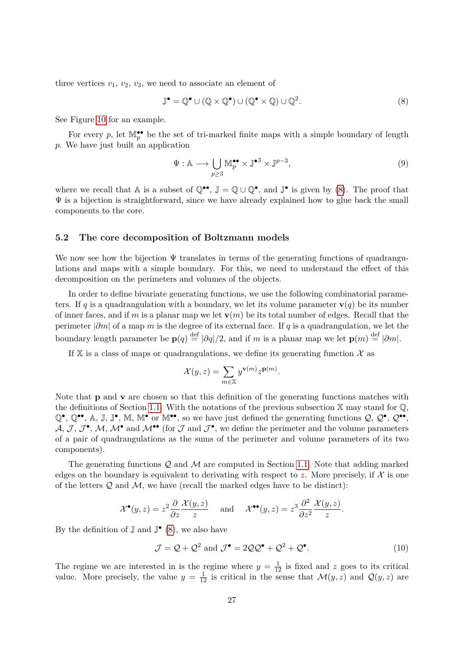three vertices  $v_1, v_2, v_3$ , we need to associate an element of

<span id="page-26-1"></span>
$$
\mathbb{J}^{\bullet} = \mathbb{Q}^{\bullet} \cup (\mathbb{Q} \times \mathbb{Q}^{\bullet}) \cup (\mathbb{Q}^{\bullet} \times \mathbb{Q}) \cup \mathbb{Q}^{2}.
$$
 (8)

See Figure [10](#page-25-0) for an example.

For every  $p$ , let  $\mathbb{M}_{p}^{\bullet\bullet}$  be the set of tri-marked finite maps with a simple boundary of length *p*. We have just built an application

<span id="page-26-2"></span>
$$
\Psi: \mathbb{A} \longrightarrow \bigcup_{p \ge 3} \mathbb{M}_p^{\bullet \bullet} \times \mathbb{J}^{\bullet 3} \times \mathbb{J}^{p-3},\tag{9}
$$

where we recall that A is a subset of  $\mathbb{Q}^{\bullet\bullet}$ ,  $\mathbb{J} = \mathbb{Q} \cup \mathbb{Q}^{\bullet}$ , and  $\mathbb{J}^{\bullet}$  is given by [\(8\)](#page-26-1). The proof that  $\Psi$  is a bijection is straightforward, since we have already explained how to glue back the small components to the core.

#### <span id="page-26-0"></span>**5.2 The core decomposition of Boltzmann models**

We now see how the bijection  $\Psi$  translates in terms of the generating functions of quadrangulations and maps with a simple boundary. For this, we need to understand the effect of this decomposition on the perimeters and volumes of the objects.

In order to define bivariate generating functions, we use the following combinatorial parameters. If *q* is a quadrangulation with a boundary, we let its volume parameter  $\mathbf{v}(q)$  be its number of inner faces, and if *m* is a planar map we let  $\mathbf{v}(m)$  be its total number of edges. Recall that the perimeter |*∂m*| of a map *m* is the degree of its external face. If *q* is a quadrangulation, we let the boundary length parameter be  $\mathbf{p}(q) \stackrel{\text{def}}{=} |\partial q|/2$ , and if *m* is a planar map we let  $\mathbf{p}(m) \stackrel{\text{def}}{=} |\partial m|$ .

If  $X$  is a class of maps or quadrangulations, we define its generating function  $X$  as

$$
\mathcal{X}(y,z) = \sum_{m \in \mathbb{X}} y^{\mathbf{v}(m)} z^{\mathbf{p}(m)}.
$$

Note that **p** and **v** are chosen so that this definition of the generating functions matches with the definitions of Section [1.1.](#page-3-1) With the notations of the previous subsection  $X$  may stand for  $\mathbb{Q}$ ,  $\mathbb{Q}^{\bullet}$ ,  $\mathbb{Q}^{\bullet\bullet}$ , A, J, J<sup> $\bullet$ </sup>, M, M<sup> $\bullet$ </sup> or M<sup> $\bullet\bullet$ </sup>, so we have just defined the generating functions  $\mathcal{Q}, \mathcal{Q}^{\bullet}, \mathcal{Q}^{\bullet\bullet}$ ,  $\mathcal{A}, \mathcal{J}, \mathcal{J}^{\bullet}, \mathcal{M}, \mathcal{M}^{\bullet}$  and  $\mathcal{M}^{\bullet\bullet}$  (for  $\mathcal{J}$  and  $\mathcal{J}^{\bullet}$ , we define the perimeter and the volume parameters of a pair of quadrangulations as the sums of the perimeter and volume parameters of its two components).

The generating functions  $Q$  and  $M$  are computed in Section [1.1.](#page-3-1) Note that adding marked edges on the boundary is equivalent to derivating with respect to  $z$ . More precisely, if  $\mathcal X$  is one of the letters  $\mathcal Q$  and  $\mathcal M$ , we have (recall the marked edges have to be distinct):

$$
\mathcal{X}^{\bullet}(y,z) = z^2 \frac{\partial}{\partial z} \frac{\mathcal{X}(y,z)}{z} \quad \text{and} \quad \mathcal{X}^{\bullet \bullet}(y,z) = z^3 \frac{\partial^2}{\partial z^2} \frac{\mathcal{X}(y,z)}{z}.
$$

By the definition of  $\mathbb J$  and  $\mathbb J^{\bullet}$  [\(8\)](#page-26-1), we also have

<span id="page-26-3"></span>
$$
\mathcal{J} = \mathcal{Q} + \mathcal{Q}^2 \text{ and } \mathcal{J}^{\bullet} = 2\mathcal{Q}\mathcal{Q}^{\bullet} + \mathcal{Q}^2 + \mathcal{Q}^{\bullet}.
$$
 (10)

The regime we are interested in is the regime where  $y = \frac{1}{12}$  is fixed and *z* goes to its critical value. More precisely, the value  $y = \frac{1}{12}$  is critical in the sense that  $\mathcal{M}(y, z)$  and  $\mathcal{Q}(y, z)$  are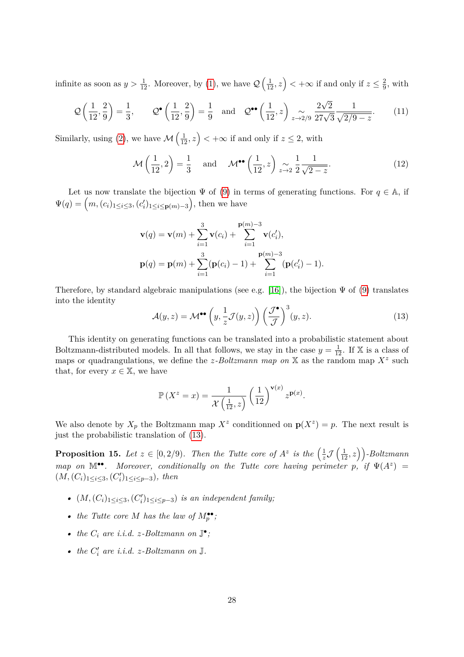infinite as soon as  $y > \frac{1}{12}$ . Moreover, by [\(1\)](#page-4-1), we have  $\mathcal{Q}\left(\frac{1}{12}, z\right) < +\infty$  if and only if  $z \leq \frac{2}{9}$  $\frac{2}{9}$ , with

<span id="page-27-2"></span>
$$
\mathcal{Q}\left(\frac{1}{12},\frac{2}{9}\right) = \frac{1}{3}, \qquad \mathcal{Q}^{\bullet}\left(\frac{1}{12},\frac{2}{9}\right) = \frac{1}{9} \quad \text{and} \quad \mathcal{Q}^{\bullet\bullet}\left(\frac{1}{12},z\right) \underset{z \to 2/9}{\sim} \frac{2\sqrt{2}}{27\sqrt{3}} \frac{1}{\sqrt{2/9-z}}. \tag{11}
$$

Similarly, using [\(2\)](#page-5-2), we have  $\mathcal{M}\left(\frac{1}{12}, z\right) < +\infty$  if and only if  $z \leq 2$ , with

<span id="page-27-3"></span>
$$
\mathcal{M}\left(\frac{1}{12},2\right) = \frac{1}{3} \quad \text{and} \quad \mathcal{M}^{\bullet\bullet}\left(\frac{1}{12},z\right) \underset{z \to 2}{\sim} \frac{1}{2} \frac{1}{\sqrt{2-z}}.
$$
 (12)

Let us now translate the bijection  $\Psi$  of [\(9\)](#page-26-2) in terms of generating functions. For  $q \in A$ , if  $\Psi(q) = (m, (c_i)_{1 \leq i \leq 3}, (c'_i)_{1 \leq i \leq p(m)-3})$ , then we have

$$
\mathbf{v}(q) = \mathbf{v}(m) + \sum_{i=1}^{3} \mathbf{v}(c_i) + \sum_{i=1}^{\mathbf{p}(m)-3} \mathbf{v}(c'_i),
$$
  

$$
\mathbf{p}(q) = \mathbf{p}(m) + \sum_{i=1}^{3} (\mathbf{p}(c_i) - 1) + \sum_{i=1}^{\mathbf{p}(m)-3} (\mathbf{p}(c'_i) - 1).
$$

Therefore, by standard algebraic manipulations (see e.g. [\[16\]](#page-32-13)), the bijection  $\Psi$  of [\(9\)](#page-26-2) translates into the identity

<span id="page-27-0"></span>
$$
\mathcal{A}(y,z) = \mathcal{M}^{\bullet \bullet} \left( y, \frac{1}{z} \mathcal{J}(y,z) \right) \left( \frac{\mathcal{J}^{\bullet}}{\mathcal{J}} \right)^3 (y,z). \tag{13}
$$

This identity on generating functions can be translated into a probabilistic statement about Boltzmann-distributed models. In all that follows, we stay in the case  $y = \frac{1}{12}$ . If X is a class of maps or quadrangulations, we define the *z*-Boltzmann map on  $X$  as the random map  $X^z$  such that, for every  $x \in \mathbb{X}$ , we have

$$
\mathbb{P}\left(X^z = x\right) = \frac{1}{\mathcal{X}\left(\frac{1}{12}, z\right)} \left(\frac{1}{12}\right)^{\mathbf{v}(x)} z^{\mathbf{p}(x)}.
$$

We also denote by  $X_p$  the Boltzmann map  $X^z$  conditionned on  $p(X^z) = p$ . The next result is just the probabilistic translation of [\(13\)](#page-27-0).

<span id="page-27-1"></span>**Proposition 15.** Let  $z \in [0, 2/9)$ . Then the Tutte core of  $A^z$  is the  $\left(\frac{1}{z}\right)$  $\frac{1}{z}\mathcal{J}\left(\frac{1}{12},z\right)$ )-Boltzmann *map on*  $\mathbb{M}^{\bullet\bullet}$ . *Moreover, conditionally on the Tutte core having perimeter*  $p$ , *if*  $\Psi(A^z)$  =  $(M, (C_i)_{1 \leq i \leq 3}, (C'_i)_{1 \leq i \leq p-3})$ *, then* 

- $(M, (C_i)_{1 \leq i \leq 3}, (C'_i)_{1 \leq i \leq p-3})$  *is an independent family;*
- *the Tutte core M has the law of*  $M_p^{\bullet\bullet}$ ;
- *the*  $C_i$  *are i.i.d. z*-*Boltzmann on*  $\mathbb{J}^{\bullet}$ *;*
- *the*  $C_i'$  are *i.i.d.*  $z$ *-Boltzmann on*  $\mathbb{J}$ *.*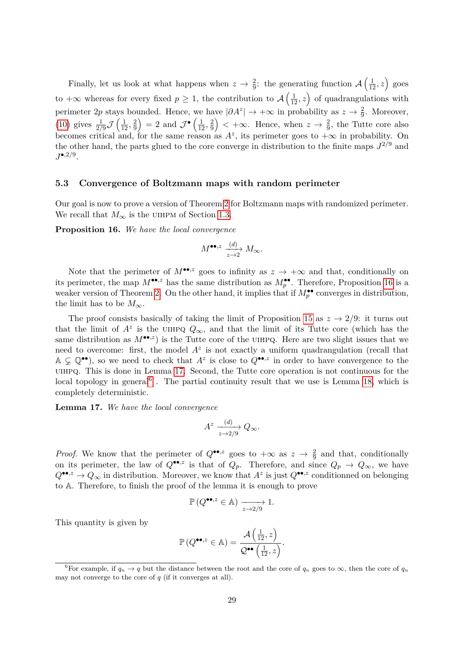Finally, let us look at what happens when  $z \to \frac{2}{9}$ : the generating function  $\mathcal{A}\left(\frac{1}{12},z\right)$  goes to  $+\infty$  whereas for every fixed  $p \geq 1$ , the contribution to  $\mathcal{A}\left(\frac{1}{12},z\right)$  of quadrangulations with perimeter 2p stays bounded. Hence, we have  $|\partial A^z| \to +\infty$  in probability as  $z \to \frac{2}{9}$ . Moreover, [\(10\)](#page-26-3) gives  $\frac{1}{2/9} \mathcal{J} \left( \frac{1}{12}, \frac{2}{9} \right)$  $\left(\frac{2}{9}\right) = 2$  and  $\mathcal{J}^{\bullet}\left(\frac{1}{12}, \frac{2}{9}\right)$  $\left(\frac{2}{9}\right)$  < + $\infty$ . Hence, when  $z \to \frac{2}{9}$ , the Tutte core also becomes critical and, for the same reason as  $A^z$ , its perimeter goes to  $+\infty$  in probability. On the other hand, the parts glued to the core converge in distribution to the finite maps  $J^{2/9}$  and  $J^{\bullet,2/9}.$ 

#### <span id="page-28-0"></span>**5.3 Convergence of Boltzmann maps with random perimeter**

Our goal is now to prove a version of Theorem [2](#page-2-0) for Boltzmann maps with randomized perimeter. We recall that  $M_{\infty}$  is the UIHPM of Section [1.3.](#page-8-0)

<span id="page-28-1"></span>**Proposition 16.** *We have the local convergence*

$$
M^{\bullet\bullet,z}\xrightarrow[z\to 2]{(d)}M_\infty.
$$

Note that the perimeter of  $M^{\bullet,s}$  goes to infinity as  $z \to +\infty$  and that, conditionally on its perimeter, the map  $M^{\bullet\bullet,z}$  has the same distribution as  $M_p^{\bullet\bullet}$ . Therefore, Proposition [16](#page-28-1) is a weaker version of Theorem [2.](#page-2-0) On the other hand, it implies that if  $M_p^{\bullet\bullet}$  converges in distribution, the limit has to be  $M_{\infty}$ .

The proof consists basically of taking the limit of Proposition [15](#page-27-1) as  $z \to 2/9$ : it turns out that the limit of  $A^z$  is the UIHPQ  $Q_{\infty}$ , and that the limit of its Tutte core (which has the same distribution as  $M^{\bullet\bullet,z}$  is the Tutte core of the UIHPQ. Here are two slight issues that we need to overcome: first, the model  $A^z$  is not exactly a uniform quadrangulation (recall that  $A \subsetneq \mathbb{Q}^{\bullet\bullet}$ , so we need to check that  $A^z$  is close to  $Q^{\bullet\bullet,z}$  in order to have convergence to the uihpq. This is done in Lemma [17.](#page-28-2) Second, the Tutte core operation is not continuous for the local topology in general<sup>[6](#page-28-3)</sup>. The partial continuity result that we use is Lemma [18,](#page-29-0) which is completely deterministic.

<span id="page-28-2"></span>**Lemma 17.** *We have the local convergence*

$$
A^z \xrightarrow[z \to 2/9]{(d)} Q_{\infty}.
$$

*Proof.* We know that the perimeter of  $Q^{\bullet\bullet,z}$  goes to  $+\infty$  as  $z \to \frac{2}{9}$  and that, conditionally on its perimeter, the law of  $Q^{\bullet\bullet,z}$  is that of  $Q_p$ . Therefore, and since  $Q_p \to Q_\infty$ , we have  $Q^{\bullet\bullet,z} \to Q_{\infty}$  in distribution. Moreover, we know that  $A^z$  is just  $Q^{\bullet\bullet,z}$  conditionned on belonging to A. Therefore, to finish the proof of the lemma it is enough to prove

$$
\mathbb{P}\left(Q^{\bullet\bullet,z}\in\mathbb{A}\right)\xrightarrow[z\to 2/9]{\longrightarrow} 1.
$$

This quantity is given by

$$
\mathbb{P}\left(Q^{\bullet\bullet,z}\in\mathbb{A}\right)=\frac{\mathcal{A}\left(\frac{1}{12},z\right)}{\mathcal{Q}^{\bullet\bullet}\left(\frac{1}{12},z\right)}.
$$

<span id="page-28-3"></span><sup>&</sup>lt;sup>6</sup>For example, if  $q_n \to q$  but the distance between the root and the core of  $q_n$  goes to  $\infty$ , then the core of  $q_n$ may not converge to the core of *q* (if it converges at all).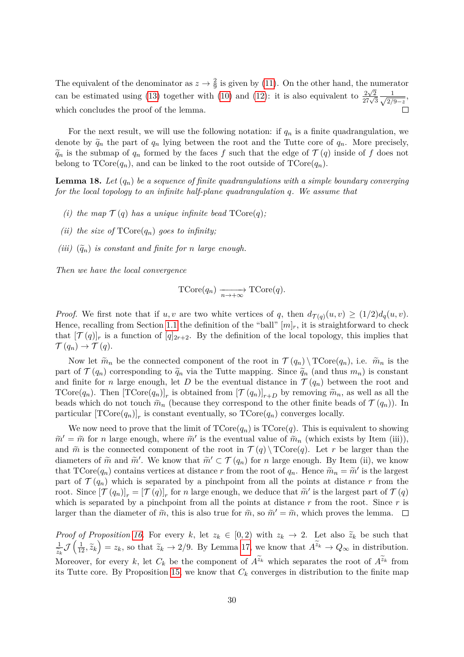The equivalent of the denominator as  $z \to \frac{2}{9}$  is given by [\(11\)](#page-27-2). On the other hand, the numerator 9 can be estimated using [\(13\)](#page-27-0) together with [\(10\)](#page-26-3) and [\(12\)](#page-27-3): it is also equivalent to  $\frac{2\sqrt{2}}{27\sqrt{3}}\frac{1}{\sqrt{27}}$  $\frac{1}{2/9-z}$ which concludes the proof of the lemma.  $\Box$ 

For the next result, we will use the following notation: if  $q_n$  is a finite quadrangulation, we denote by  $\tilde{q}_n$  the part of  $q_n$  lying between the root and the Tutte core of  $q_n$ . More precisely,  $\tilde{q}_n$  is the submap of  $q_n$  formed by the faces *f* such that the edge of  $\mathcal{T}(q)$  inside of *f* does not belong to  $TCore(q_n)$ , and can be linked to the root outside of  $TCore(q_n)$ .

<span id="page-29-0"></span>**Lemma 18.** *Let* (*qn*) *be a sequence of finite quadrangulations with a simple boundary converging for the local topology to an infinite half-plane quadrangulation q. We assume that*

- *(i) the map*  $\mathcal{T}(q)$  *has a unique infinite bead*  $\text{TCore}(q)$ *;*
- *(ii) the size of*  $TCore(q_n)$  *goes to infinity;*
- *(iii)*  $(\tilde{q}_n)$  *is constant and finite for n large enough.*

*Then we have the local convergence*

$$
\text{TCore}(q_n) \xrightarrow[n \to +\infty]{} \text{TCore}(q).
$$

*Proof.* We first note that if *u, v* are two white vertices of *q*, then  $d_{\mathcal{T}(q)}(u, v) \geq (1/2)d_q(u, v)$ . Hence, recalling from Section [1.1](#page-3-1) the definition of the "ball"  $[m]_r$ , it is straightforward to check that  $[\mathcal{T}(q)]_r$  is a function of  $[q]_{2r+2}$ . By the definition of the local topology, this implies that  $\mathcal{T}(q_n) \to \mathcal{T}(q).$ 

Now let  $\tilde{m}_n$  be the connected component of the root in  $\mathcal{T}(q_n) \setminus \mathrm{TCore}(q_n)$ , i.e.  $\tilde{m}_n$  is the part of  $\mathcal{T}(q_n)$  corresponding to  $\tilde{q}_n$  via the Tutte mapping. Since  $\tilde{q}_n$  (and thus  $m_n$ ) is constant and finite for *n* large enough, let *D* be the eventual distance in  $\mathcal{T}(q_n)$  between the root and TCore $(q_n)$ . Then  $[\text{TCore}(q_n)]_r$  is obtained from  $[\mathcal{T}(q_n)]_{r+D}$  by removing  $\widetilde{m}_n$ , as well as all the beads which do not touch  $\tilde{m}_n$  (because they correspond to the other finite beads of  $\mathcal{T}(q_n)$ ). In particular  $[\text{TCore}(q_n)]_r$  is constant eventually, so  $\text{TCore}(q_n)$  converges locally.

We now need to prove that the limit of  $\text{TCore}(q_n)$  is  $\text{TCore}(q)$ . This is equivalent to showing  $\widetilde{m}' = \widetilde{m}$  for *n* large enough, where  $\widetilde{m}'$  is the eventual value of  $\widetilde{m}_n$  (which exists by Item (iii)), and  $\tilde{m}$  is the connected component of the root in  $\mathcal{T}(q) \setminus \text{TCore}(q)$ . Let r be larger than the diameters of  $\tilde{m}$  and  $\tilde{m}'$ . We know that  $\tilde{m}' \subset \mathcal{T}(q_n)$  for *n* large enough. By Item (ii), we know that  $\text{TCore}(q_n)$  contains vertices at distance *r* from the root of  $q_n$ . Hence  $\tilde{m}_n = \tilde{m}'$  is the largest part of  $\mathcal{T}(q_n)$  which is separated by a pinchpoint from all the points at distance r from the root. Since  $[\mathcal{T}(q_n)]_r = [\mathcal{T}(q)]_r$  for *n* large enough, we deduce that  $\tilde{m}'$  is the largest part of  $\mathcal{T}(q)$ which is separated by a pinchpoint from all the points at distance *r* from the root. Since *r* is larger than the diameter of  $\tilde{m}$ , this is also true for  $\tilde{m}$ , so  $\tilde{m}' = \tilde{m}$ , which proves the lemma.

*Proof of Proposition [16.](#page-28-1)* For every *k*, let  $z_k \in [0,2)$  with  $z_k \to 2$ . Let also  $\tilde{z}_k$  be such that  $\frac{1}{z_k} \mathcal{J}\left(\frac{1}{12}, \widetilde{z}_k\right) = z_k$ , so that  $\widetilde{z}_k \to 2/9$ . By Lemma [17,](#page-28-2) we know that  $A^{\widetilde{z}_k} \to Q_\infty$  in distribution.  $\overline{z}_k$ <sub>N</sub> Moreover, for every *k*, let  $C_k$  be the component of  $A^{z_k}$  which separates the root of  $A^{z_k}$  from its Tutte core. By Proposition [15,](#page-27-1) we know that  $C_k$  converges in distribution to the finite map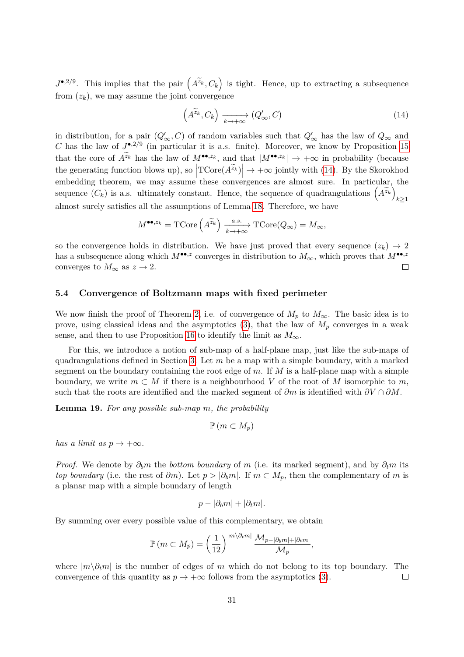$J^{\bullet,2/9}$ . This implies that the pair  $(A^{\tilde{z}_k}, C_k)$  is tight. Hence, up to extracting a subsequence from  $(z_k)$ , we may assume the joint convergence

<span id="page-30-1"></span>
$$
\left(A^{\widetilde{z}_k}, C_k\right) \xrightarrow[k \to +\infty]{} (Q'_{\infty}, C) \tag{14}
$$

in distribution, for a pair  $(Q'_\infty, C)$  of random variables such that  $Q'_\infty$  has the law of  $Q_\infty$  and *C* has the law of  $J^{\bullet,2/9}$  (in particular it is a.s. finite). Moreover, we know by Proposition [15](#page-27-1) that the core of  $A^{\tilde{z}_k}$  has the law of  $M^{\bullet\bullet,z_k}$ , and that  $|M^{\bullet\bullet,z_k}| \to +\infty$  in probability (because the generating function blows up), so  $\left| \text{TCore}(A^{\tilde{z}_k}) \right| \to +\infty$  jointly with [\(14\)](#page-30-1). By the Skorokhod embedding theorem, we may assume these convergences are almost sure. In particular, the sequence  $(C_k)$  is a.s. ultimately constant. Hence, the sequence of quadrangulations  $(A^{\tilde{z}_k})$ *k*≥1 almost surely satisfies all the assumptions of Lemma [18.](#page-29-0) Therefore, we have

$$
M^{\bullet\bullet, z_k} = \mathrm{TCore}\left(A^{\widetilde{z}_k}\right) \xrightarrow[k \to +\infty]{a.s.} \mathrm{TCore}(Q_\infty) = M_\infty,
$$

so the convergence holds in distribution. We have just proved that every sequence  $(z_k) \to 2$ has a subsequence along which  $M^{\bullet\bullet,z}$  converges in distribution to  $M_{\infty}$ , which proves that  $M^{\bullet\bullet,z}$ converges to  $M_{\infty}$  as  $z \to 2$ .  $\Box$ 

### <span id="page-30-0"></span>**5.4 Convergence of Boltzmann maps with fixed perimeter**

We now finish the proof of Theorem [2,](#page-2-0) i.e. of convergence of  $M_p$  to  $M_\infty$ . The basic idea is to prove, using classical ideas and the asymptotics  $(3)$ , that the law of  $M_p$  converges in a weak sense, and then to use Proposition [16](#page-28-1) to identify the limit as  $M_{\infty}$ .

For this, we introduce a notion of sub-map of a half-plane map, just like the sub-maps of quadrangulations defined in Section [3.](#page-5-3) Let *m* be a map with a simple boundary, with a marked segment on the boundary containing the root edge of *m*. If *M* is a half-plane map with a simple boundary, we write  $m \subset M$  if there is a neighbourhood V of the root of M isomorphic to m, such that the roots are identified and the marked segment of  $\partial m$  is identified with  $\partial V \cap \partial M$ .

<span id="page-30-2"></span>**Lemma 19.** *For any possible sub-map m, the probability*

$$
\mathbb{P}\left(m\subset M_p\right)
$$

*has a limit as*  $p \rightarrow +\infty$ *.* 

*Proof.* We denote by  $\partial_b m$  the *bottom boundary* of *m* (i.e. its marked segment), and by  $\partial_t m$  its *top boundary* (i.e. the rest of  $\partial m$ ). Let  $p > |\partial_b m|$ . If  $m \subset M_p$ , then the complementary of *m* is a planar map with a simple boundary of length

$$
p - |\partial_b m| + |\partial_t m|.
$$

By summing over every possible value of this complementary, we obtain

$$
\mathbb{P}\left(m \subset M_p\right) = \left(\frac{1}{12}\right)^{|m\setminus \partial_t m|} \frac{\mathcal{M}_{p-|\partial_b m| + |\partial_t m|}}{\mathcal{M}_p},
$$

where |*m*\*∂tm*| is the number of edges of *m* which do not belong to its top boundary. The convergence of this quantity as  $p \to +\infty$  follows from the asymptotics [\(3\)](#page-5-3).  $\Box$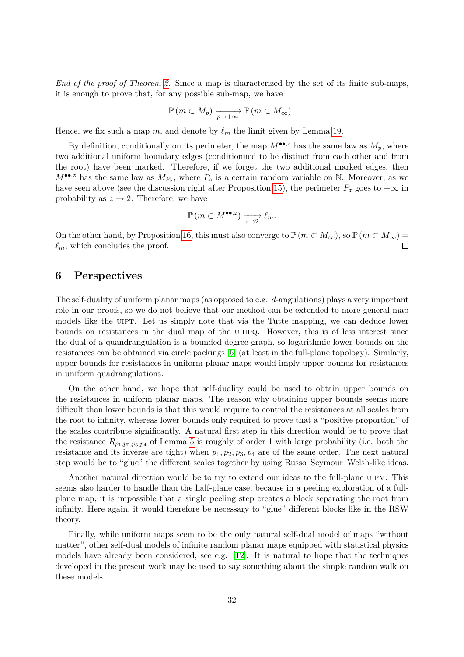*End of the proof of Theorem [2.](#page-2-0)* Since a map is characterized by the set of its finite sub-maps, it is enough to prove that, for any possible sub-map, we have

$$
\mathbb{P}(m \subset M_p) \xrightarrow[p \to +\infty]{} \mathbb{P}(m \subset M_\infty).
$$

Hence, we fix such a map  $m$ , and denote by  $\ell_m$  the limit given by Lemma [19.](#page-30-2)

By definition, conditionally on its perimeter, the map  $M^{\bullet\bullet,z}$  has the same law as  $M_p$ , where two additional uniform boundary edges (conditionned to be distinct from each other and from the root) have been marked. Therefore, if we forget the two additional marked edges, then  $M^{\bullet\bullet,z}$  has the same law as  $M_{P_z}$ , where  $P_z$  is a certain random variable on N. Moreover, as we have seen above (see the discussion right after Proposition [15\)](#page-27-1), the perimeter  $P_z$  goes to  $+\infty$  in probability as  $z \to 2$ . Therefore, we have

$$
\mathbb{P}\left(m\subset M^{\bullet\bullet,z}\right)\xrightarrow[z\to2]{}\ell_m.
$$

On the other hand, by Proposition [16,](#page-28-1) this must also converge to  $\mathbb{P} (m \subset M_\infty)$ , so  $\mathbb{P} (m \subset M_\infty)$  $\ell_m$ , which concludes the proof.  $\Box$ 

### <span id="page-31-0"></span>**6 Perspectives**

The self-duality of uniform planar maps (as opposed to e.g. *d*-angulations) plays a very important role in our proofs, so we do not believe that our method can be extended to more general map models like the UIPT. Let us simply note that via the Tutte mapping, we can deduce lower bounds on resistances in the dual map of the uihpq. However, this is of less interest since the dual of a quandrangulation is a bounded-degree graph, so logarithmic lower bounds on the resistances can be obtained via circle packings [\[5\]](#page-32-16) (at least in the full-plane topology). Similarly, upper bounds for resistances in uniform planar maps would imply upper bounds for resistances in uniform quadrangulations.

On the other hand, we hope that self-duality could be used to obtain upper bounds on the resistances in uniform planar maps. The reason why obtaining upper bounds seems more difficult than lower bounds is that this would require to control the resistances at all scales from the root to infinity, whereas lower bounds only required to prove that a "positive proportion" of the scales contribute significantly. A natural first step in this direction would be to prove that the resistance  $R_{p_1,p_2,p_3,p_4}$  of Lemma [5](#page-11-1) is roughly of order 1 with large probability (i.e. both the resistance and its inverse are tight) when  $p_1, p_2, p_3, p_4$  are of the same order. The next natural step would be to "glue" the different scales together by using Russo–Seymour–Welsh-like ideas.

Another natural direction would be to try to extend our ideas to the full-plane uipm. This seems also harder to handle than the half-plane case, because in a peeling exploration of a fullplane map, it is impossible that a single peeling step creates a block separating the root from infinity. Here again, it would therefore be necessary to "glue" different blocks like in the RSW theory.

Finally, while uniform maps seem to be the only natural self-dual model of maps "without matter", other self-dual models of infinite random planar maps equipped with statistical physics models have already been considered, see e.g. [\[12\]](#page-32-17). It is natural to hope that the techniques developed in the present work may be used to say something about the simple random walk on these models.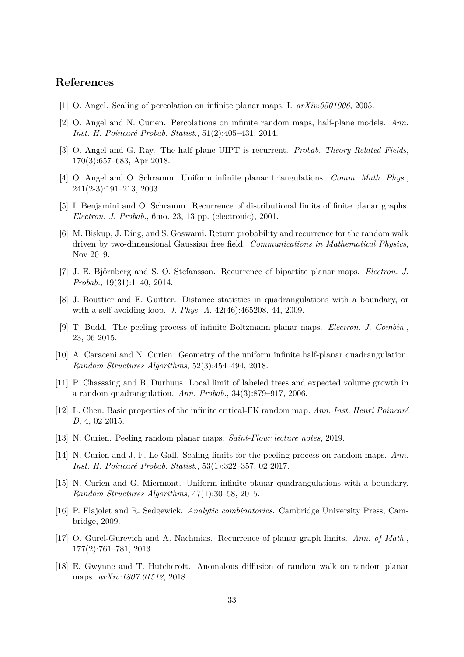# **References**

- <span id="page-32-3"></span>[1] O. Angel. Scaling of percolation on infinite planar maps, I. *arXiv:0501006*, 2005.
- <span id="page-32-12"></span>[2] O. Angel and N. Curien. Percolations on infinite random maps, half-plane models. *Ann. Inst. H. Poincaré Probab. Statist.*, 51(2):405–431, 2014.
- <span id="page-32-8"></span>[3] O. Angel and G. Ray. The half plane UIPT is recurrent. *Probab. Theory Related Fields*, 170(3):657–683, Apr 2018.
- <span id="page-32-0"></span>[4] O. Angel and O. Schramm. Uniform infinite planar triangulations. *Comm. Math. Phys.*, 241(2-3):191–213, 2003.
- <span id="page-32-16"></span>[5] I. Benjamini and O. Schramm. Recurrence of distributional limits of finite planar graphs. *Electron. J. Probab.*, 6:no. 23, 13 pp. (electronic), 2001.
- <span id="page-32-10"></span>[6] M. Biskup, J. Ding, and S. Goswami. Return probability and recurrence for the random walk driven by two-dimensional Gaussian free field. *Communications in Mathematical Physics*, Nov 2019.
- <span id="page-32-2"></span>[7] J. E. Björnberg and S. O. Stefansson. Recurrence of bipartite planar maps. *Electron. J. Probab.*, 19(31):1–40, 2014.
- <span id="page-32-11"></span>[8] J. Bouttier and E. Guitter. Distance statistics in quadrangulations with a boundary, or with a self-avoiding loop. *J. Phys. A*, 42(46):465208, 44, 2009.
- <span id="page-32-15"></span>[9] T. Budd. The peeling process of infinite Boltzmann planar maps. *Electron. J. Combin.*, 23, 06 2015.
- <span id="page-32-5"></span>[10] A. Caraceni and N. Curien. Geometry of the uniform infinite half-planar quadrangulation. *Random Structures Algorithms*, 52(3):454–494, 2018.
- <span id="page-32-1"></span>[11] P. Chassaing and B. Durhuus. Local limit of labeled trees and expected volume growth in a random quadrangulation. *Ann. Probab.*, 34(3):879–917, 2006.
- <span id="page-32-17"></span>[12] L. Chen. Basic properties of the infinite critical-FK random map. *Ann. Inst. Henri Poincaré D*, 4, 02 2015.
- <span id="page-32-6"></span>[13] N. Curien. Peeling random planar maps. *Saint-Flour lecture notes*, 2019.
- <span id="page-32-14"></span>[14] N. Curien and J.-F. Le Gall. Scaling limits for the peeling process on random maps. *Ann. Inst. H. Poincaré Probab. Statist.*, 53(1):322–357, 02 2017.
- <span id="page-32-4"></span>[15] N. Curien and G. Miermont. Uniform infinite planar quadrangulations with a boundary. *Random Structures Algorithms*, 47(1):30–58, 2015.
- <span id="page-32-13"></span>[16] P. Flajolet and R. Sedgewick. *Analytic combinatorics*. Cambridge University Press, Cambridge, 2009.
- <span id="page-32-7"></span>[17] O. Gurel-Gurevich and A. Nachmias. Recurrence of planar graph limits. *Ann. of Math.*, 177(2):761–781, 2013.
- <span id="page-32-9"></span>[18] E. Gwynne and T. Hutchcroft. Anomalous diffusion of random walk on random planar maps. *arXiv:1807.01512*, 2018.